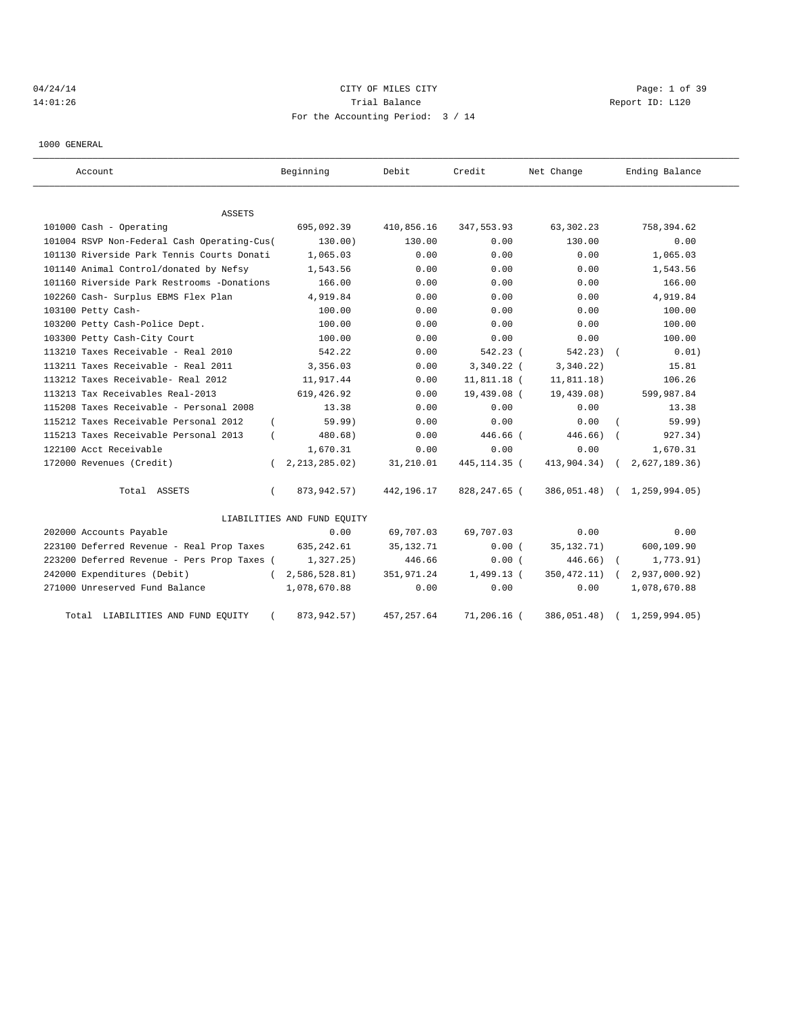## 04/24/14 CITY OF MILES CITY Page: 1 of 39 14:01:26 Report ID: L120 For the Accounting Period: 3 / 14

1000 GENERAL

| Account                                     | Beginning                   | Debit             | Credit        | Net Change   | Ending Balance              |
|---------------------------------------------|-----------------------------|-------------------|---------------|--------------|-----------------------------|
| ASSETS                                      |                             |                   |               |              |                             |
| 101000 Cash - Operating                     | 695,092.39                  | 410,856.16        | 347,553.93    | 63, 302. 23  | 758,394.62                  |
| 101004 RSVP Non-Federal Cash Operating-Cus( |                             | 130.00)<br>130.00 | 0.00          | 130.00       | 0.00                        |
| 101130 Riverside Park Tennis Courts Donati  | 1,065.03                    | 0.00              | 0.00          | 0.00         | 1,065.03                    |
| 101140 Animal Control/donated by Nefsy      | 1,543.56                    | 0.00              | 0.00          | 0.00         | 1,543.56                    |
| 101160 Riverside Park Restrooms -Donations  |                             | 166.00<br>0.00    | 0.00          | 0.00         | 166.00                      |
| 102260 Cash- Surplus EBMS Flex Plan         | 4,919.84                    | 0.00              | 0.00          | 0.00         | 4,919.84                    |
| 103100 Petty Cash-                          |                             | 100.00<br>0.00    | 0.00          | 0.00         | 100.00                      |
| 103200 Petty Cash-Police Dept.              |                             | 100.00<br>0.00    | 0.00          | 0.00         | 100.00                      |
| 103300 Petty Cash-City Court                |                             | 100.00<br>0.00    | 0.00          | 0.00         | 100.00                      |
| 113210 Taxes Receivable - Real 2010         |                             | 542.22<br>0.00    | 542.23 (      | $542.23$ ) ( | 0.01)                       |
| 113211 Taxes Receivable - Real 2011         | 3,356.03                    | 0.00              | 3,340.22 (    | 3,340.22)    | 15.81                       |
| 113212 Taxes Receivable- Real 2012          | 11,917.44                   | 0.00              | $11,811.18$ ( | 11, 811, 18) | 106.26                      |
| 113213 Tax Receivables Real-2013            | 619,426.92                  | 0.00              | 19,439.08 (   | 19,439.08)   | 599,987.84                  |
| 115208 Taxes Receivable - Personal 2008     |                             | 13.38<br>0.00     | 0.00          | 0.00         | 13.38                       |
| 115212 Taxes Receivable Personal 2012       | $\left($                    | 59.99)<br>0.00    | 0.00          | 0.00         | 59.99)                      |
| 115213 Taxes Receivable Personal 2013       |                             | 480.68)<br>0.00   | 446.66 (      | 446.66)      | 927.34)                     |
| 122100 Acct Receivable                      | 1,670.31                    | 0.00              | 0.00          | 0.00         | 1,670.31                    |
| 172000 Revenues (Credit)                    | 2, 213, 285.02<br>$\left($  | 31,210.01         | 445, 114.35 ( | 413,904.34)  | 2,627,189.36                |
| Total ASSETS                                | 873, 942.57)<br>$\left($    | 442,196.17        | 828,247.65 (  |              | 386,051.48) ( 1,259,994.05) |
|                                             | LIABILITIES AND FUND EQUITY |                   |               |              |                             |
| 202000 Accounts Payable                     |                             | 0.00<br>69,707.03 | 69,707.03     | 0.00         | 0.00                        |
| 223100 Deferred Revenue - Real Prop Taxes   | 635,242.61                  | 35, 132. 71       | 0.00(         | 35, 132. 71) | 600,109.90                  |
| 223200 Deferred Revenue - Pers Prop Taxes ( | 1,327.25                    | 446.66            | 0.00(         | 446.66)      | 1,773.91)                   |
| 242000 Expenditures (Debit)                 | 2,586,528.81)               | 351,971.24        | $1,499.13$ (  | 350, 472.11) | 2,937,000.92)               |
| 271000 Unreserved Fund Balance              | 1,078,670.88                | 0.00              | 0.00          | 0.00         | 1,078,670.88                |
| Total LIABILITIES AND FUND EQUITY           | 873, 942. 57)               | 457, 257.64       | $71.206.16$ ( | 386,051.48)  | 1, 259, 994.05              |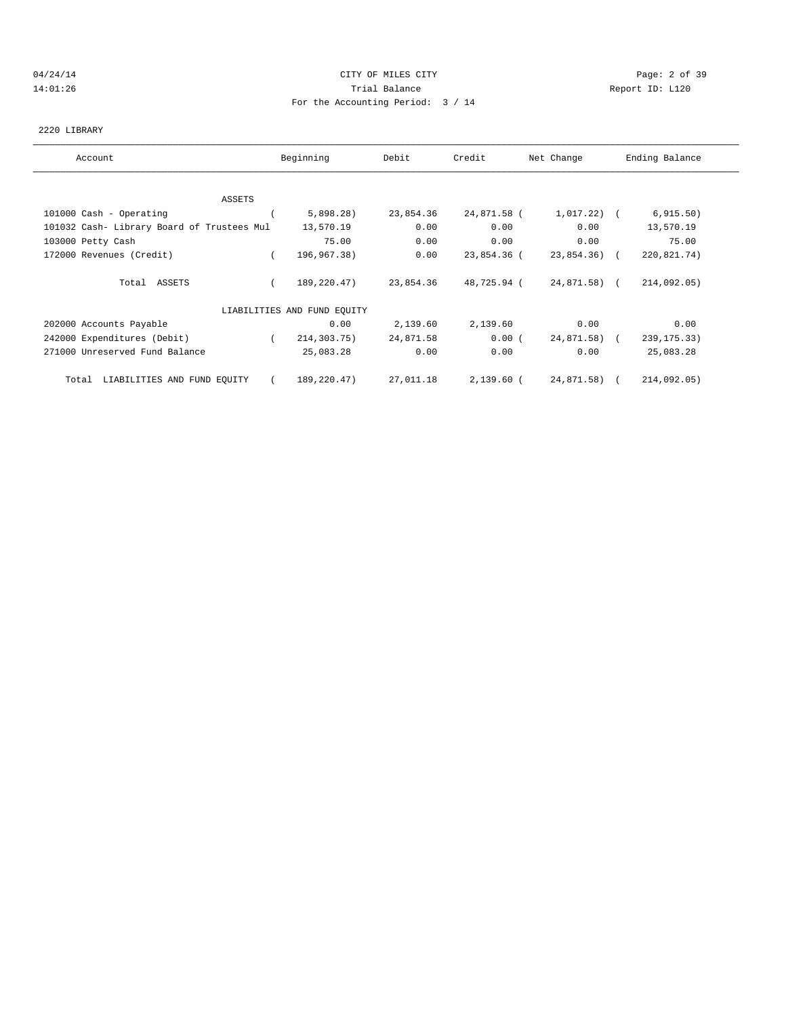### 04/24/14 CITY OF MILES CITY Page: 2 of 39 14:01:26 Trial Balance Report ID: L120 For the Accounting Period: 3 / 14

## 2220 LIBRARY

| Account                                    | Beginning                   | Debit     | Credit      | Net Change    | Ending Balance |
|--------------------------------------------|-----------------------------|-----------|-------------|---------------|----------------|
|                                            |                             |           |             |               |                |
| ASSETS                                     |                             |           |             |               |                |
| 101000 Cash - Operating                    | 5,898.28                    | 23,854.36 | 24,871.58 ( | $1,017.22)$ ( | 6, 915.50)     |
| 101032 Cash- Library Board of Trustees Mul | 13,570.19                   | 0.00      | 0.00        | 0.00          | 13,570.19      |
| 103000 Petty Cash                          | 75.00                       | 0.00      | 0.00        | 0.00          | 75.00          |
| 172000 Revenues (Credit)                   | 196,967.38)                 | 0.00      | 23,854.36 ( | $23,854,36$ ( | 220,821.74)    |
| Total ASSETS                               | 189,220.47)                 | 23,854.36 | 48,725.94 ( | 24,871.58) (  | 214,092.05)    |
|                                            | LIABILITIES AND FUND EQUITY |           |             |               |                |
| 202000 Accounts Payable                    | 0.00                        | 2,139.60  | 2,139.60    | 0.00          | 0.00           |
| 242000 Expenditures (Debit)                | 214,303.75)                 | 24,871.58 | 0.00(       | 24,871.58) (  | 239, 175. 33)  |
| 271000 Unreserved Fund Balance             | 25,083.28                   | 0.00      | 0.00        | 0.00          | 25,083.28      |
| LIABILITIES AND FUND EQUITY<br>Total       | 189,220.47)                 | 27,011.18 | 2,139.60 (  | 24,871.58) (  | 214,092.05)    |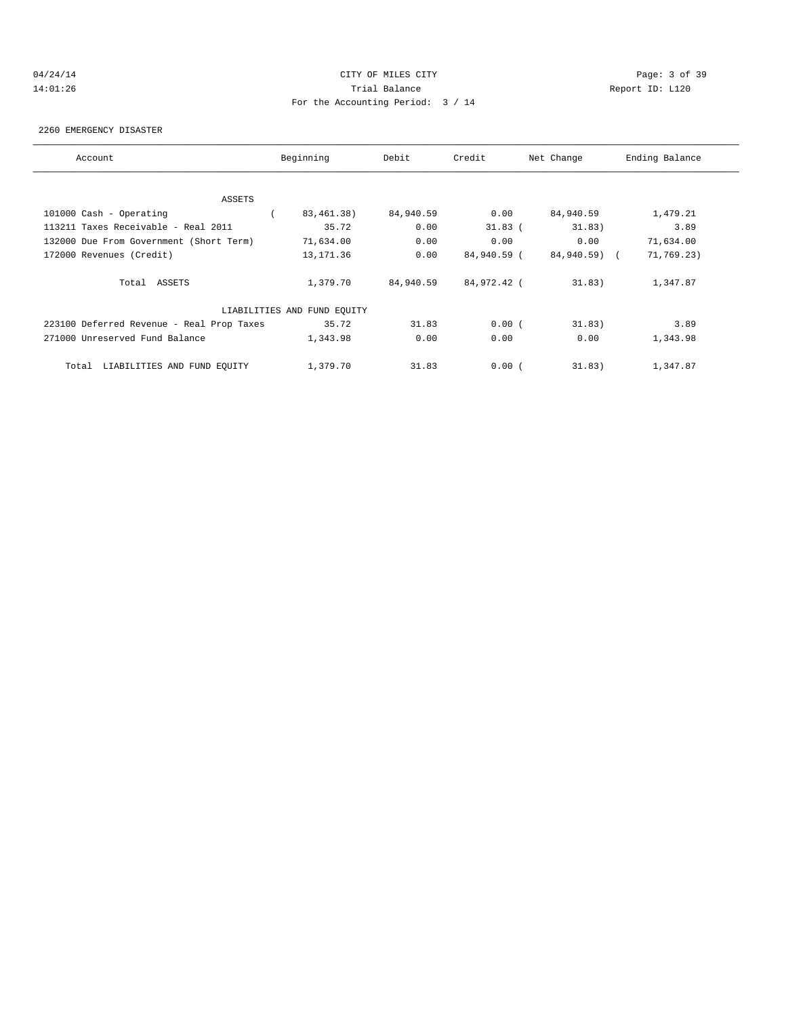## 04/24/14 CITY OF MILES CITY Page: 3 of 39 14:01:26 Trial Balance Report ID: L120 For the Accounting Period: 3 / 14

2260 EMERGENCY DISASTER

| Account                                   | Beginning                   | Debit     | Credit      | Net Change   | Ending Balance |
|-------------------------------------------|-----------------------------|-----------|-------------|--------------|----------------|
|                                           |                             |           |             |              |                |
| ASSETS                                    |                             |           |             |              |                |
| 101000 Cash - Operating                   | 83,461.38)                  | 84,940.59 | 0.00        | 84,940.59    | 1,479.21       |
| 113211 Taxes Receivable - Real 2011       | 35.72                       | 0.00      | $31.83$ (   | 31.83)       | 3.89           |
| 132000 Due From Government (Short Term)   | 71,634.00                   | 0.00      | 0.00        | 0.00         | 71,634.00      |
| 172000 Revenues (Credit)                  | 13, 171.36                  | 0.00      | 84,940.59 ( | 84,940.59) ( | 71,769.23)     |
| Total ASSETS                              | 1,379.70                    | 84,940.59 | 84,972.42 ( | 31.83)       | 1,347.87       |
|                                           | LIABILITIES AND FUND EOUITY |           |             |              |                |
| 223100 Deferred Revenue - Real Prop Taxes | 35.72                       | 31.83     | 0.00(       | 31.83)       | 3.89           |
| 271000 Unreserved Fund Balance            | 1,343.98                    | 0.00      | 0.00        | 0.00         | 1,343.98       |
| Total LIABILITIES AND FUND EQUITY         | 1,379.70                    | 31.83     | 0.00(       | 31.83)       | 1,347.87       |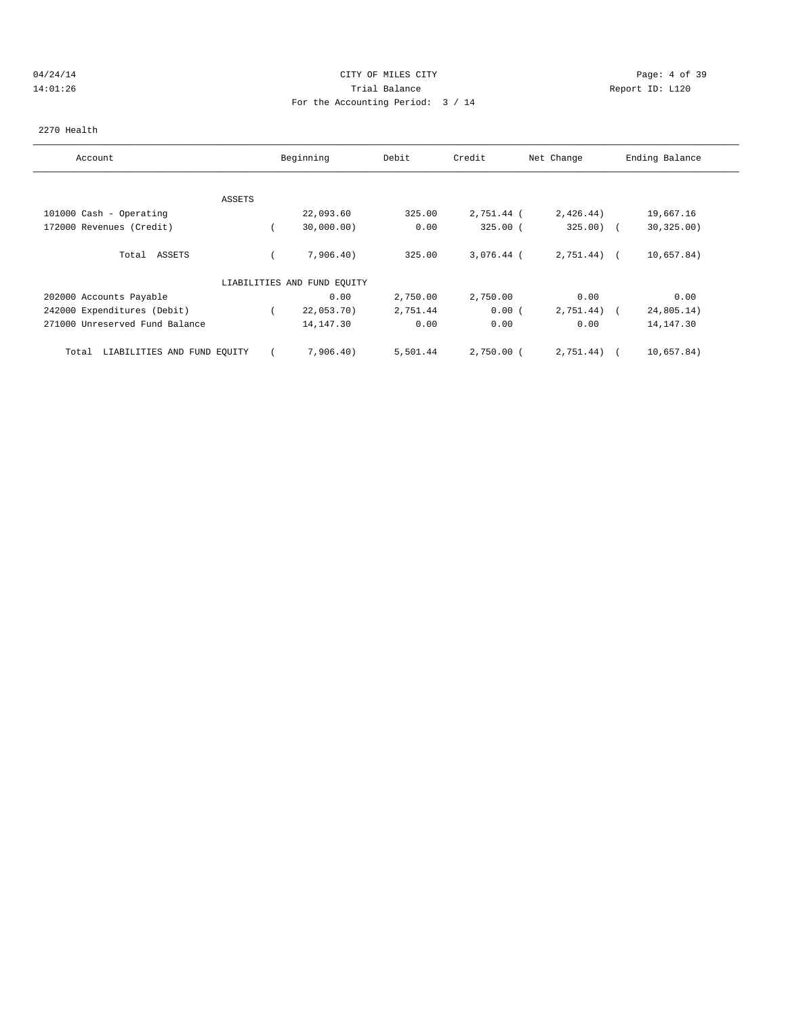### 04/24/14 Page: 4 of 39 14:01:26 Trial Balance Report ID: L120 For the Accounting Period: 3 / 14

#### 2270 Health

| Account                              |        | Beginning                   | Debit    | Credit       | Net Change     | Ending Balance |
|--------------------------------------|--------|-----------------------------|----------|--------------|----------------|----------------|
|                                      |        |                             |          |              |                |                |
|                                      | ASSETS |                             |          |              |                |                |
| 101000 Cash - Operating              |        | 22,093.60                   | 325.00   | 2,751.44 (   | 2,426.44)      | 19,667.16      |
| 172000 Revenues (Credit)             |        | 30,000.00)                  | 0.00     | $325.00$ (   | $325.00$ (     | 30, 325.00     |
| Total ASSETS                         |        | 7,906.40)                   | 325.00   | $3,076.44$ ( | $2,751.44$ ) ( | 10,657.84)     |
|                                      |        | LIABILITIES AND FUND EQUITY |          |              |                |                |
| 202000 Accounts Payable              |        | 0.00                        | 2,750.00 | 2,750.00     | 0.00           | 0.00           |
| 242000 Expenditures (Debit)          |        | 22,053.70)                  | 2,751.44 | 0.00(        | 2,751.44)      | 24,805.14)     |
| 271000 Unreserved Fund Balance       |        | 14,147.30                   | 0.00     | 0.00         | 0.00           | 14, 147.30     |
| LIABILITIES AND FUND EQUITY<br>Total |        | 7,906.40)                   | 5,501.44 | $2,750.00$ ( | 2,751.44)      | 10,657.84)     |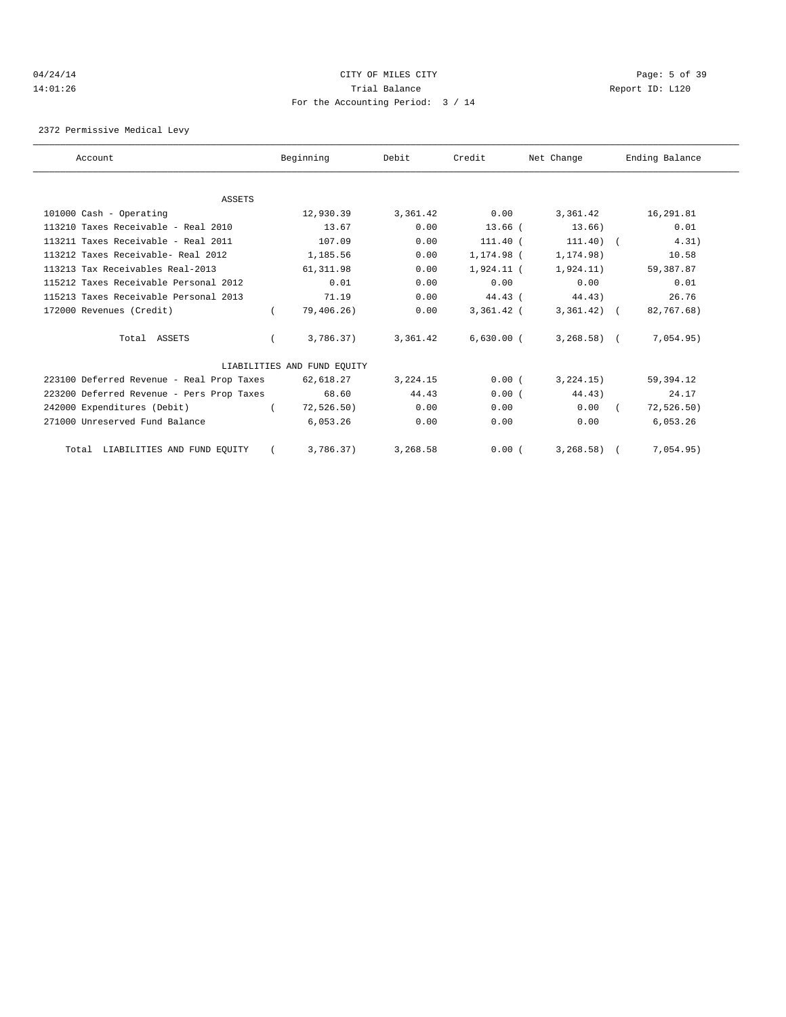## 04/24/14 Page: 5 of 39 14:01:26 Trial Balance Report ID: L120 For the Accounting Period: 3 / 14

2372 Permissive Medical Levy

| Account                                   | Beginning                   | Debit    | Credit       | Net Change   | Ending Balance |  |
|-------------------------------------------|-----------------------------|----------|--------------|--------------|----------------|--|
|                                           |                             |          |              |              |                |  |
| ASSETS                                    |                             |          |              |              |                |  |
| 101000 Cash - Operating                   | 12,930.39                   | 3,361.42 | 0.00         | 3,361.42     | 16,291.81      |  |
| $113210$ Taxes Receivable - Real $2010$   | 13.67                       | 0.00     | $13.66$ (    | 13.66)       | 0.01           |  |
| 113211 Taxes Receivable - Real 2011       | 107.09                      | 0.00     | $111.40$ (   | $111.40$ ) ( | 4.31)          |  |
| 113212 Taxes Receivable- Real 2012        | 1,185.56                    | 0.00     | 1,174.98 (   | 1,174.98)    | 10.58          |  |
| 113213 Tax Receivables Real-2013          | 61, 311, 98                 | 0.00     | $1.924.11$ ( | 1,924,11)    | 59,387.87      |  |
| 115212 Taxes Receivable Personal 2012     | 0.01                        | 0.00     | 0.00         | 0.00         | 0.01           |  |
| 115213 Taxes Receivable Personal 2013     | 71.19                       | 0.00     | $44.43$ (    | 44.43)       | 26.76          |  |
| 172000 Revenues (Credit)                  | 79,406.26)                  | 0.00     | $3,361.42$ ( | $3,361.42$ ( | 82,767.68)     |  |
| Total ASSETS                              | 3,786.37)                   | 3,361.42 | $6,630.00$ ( | $3,268.58$ ( | 7,054.95)      |  |
|                                           | LIABILITIES AND FUND EOUITY |          |              |              |                |  |
| 223100 Deferred Revenue - Real Prop Taxes | 62,618.27                   | 3,224.15 | 0.00(        | 3, 224.15)   | 59,394.12      |  |
| 223200 Deferred Revenue - Pers Prop Taxes | 68.60                       | 44.43    | 0.00(        | 44.43)       | 24.17          |  |
| 242000 Expenditures (Debit)               | 72, 526.50)                 | 0.00     | 0.00         | 0.00         | 72, 526.50)    |  |
| 271000 Unreserved Fund Balance            | 6,053.26                    | 0.00     | 0.00         | 0.00         | 6,053.26       |  |
| Total LIABILITIES AND FUND EQUITY         | 3,786.37)                   | 3,268.58 | 0.00(        | 3, 268.58)   | 7,054.95)      |  |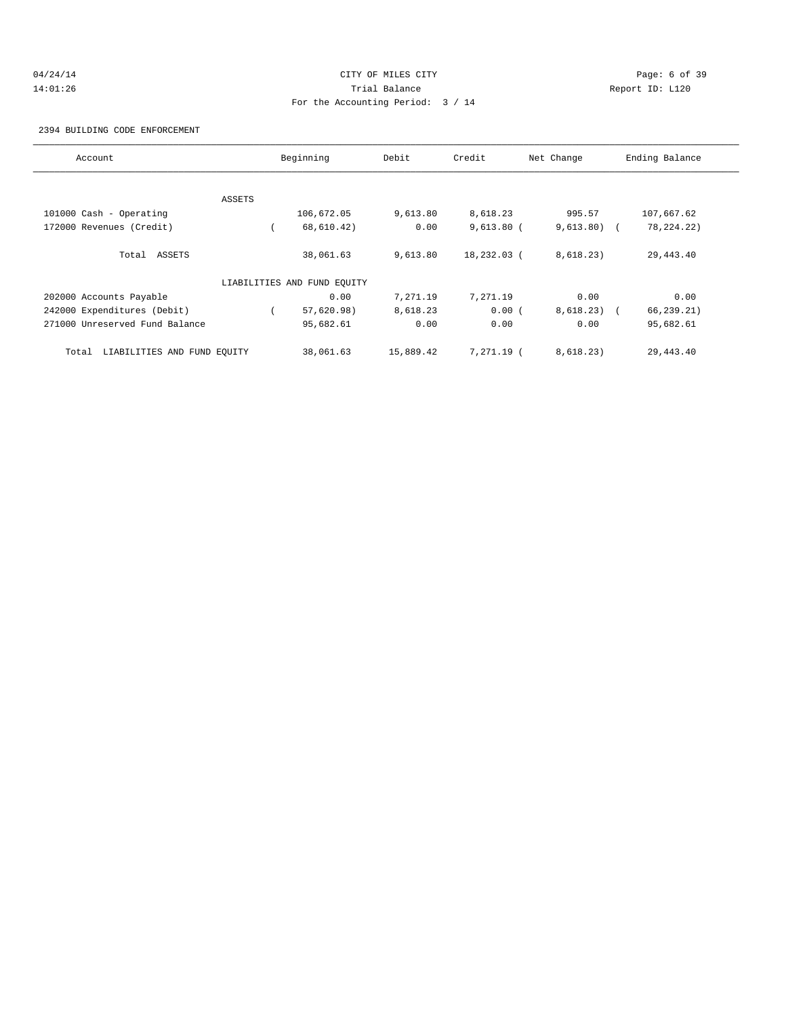## 04/24/14 CITY OF MILES CITY Page: 6 of 39 14:01:26 Trial Balance Report ID: L120 For the Accounting Period: 3 / 14

2394 BUILDING CODE ENFORCEMENT

| Account                              |        | Beginning                   | Debit     | Credit       | Net Change   | Ending Balance |
|--------------------------------------|--------|-----------------------------|-----------|--------------|--------------|----------------|
|                                      |        |                             |           |              |              |                |
|                                      | ASSETS |                             |           |              |              |                |
| 101000 Cash - Operating              |        | 106,672.05                  | 9,613.80  | 8,618.23     | 995.57       | 107,667.62     |
| 172000 Revenues (Credit)             |        | 68,610.42)                  | 0.00      | $9,613.80$ ( | $9,613.80$ ( | 78, 224. 22)   |
| Total ASSETS                         |        | 38,061.63                   | 9,613.80  | 18,232.03 (  | 8,618.23)    | 29,443.40      |
|                                      |        | LIABILITIES AND FUND EQUITY |           |              |              |                |
| 202000 Accounts Payable              |        | 0.00                        | 7,271.19  | 7,271.19     | 0.00         | 0.00           |
| 242000 Expenditures (Debit)          |        | 57,620.98)                  | 8,618.23  | 0.00(        | $8,618.23$ ( | 66,239.21)     |
| 271000 Unreserved Fund Balance       |        | 95,682.61                   | 0.00      | 0.00         | 0.00         | 95,682.61      |
| LIABILITIES AND FUND EQUITY<br>Total |        | 38,061.63                   | 15,889.42 | 7,271.19 (   | 8,618.23)    | 29,443.40      |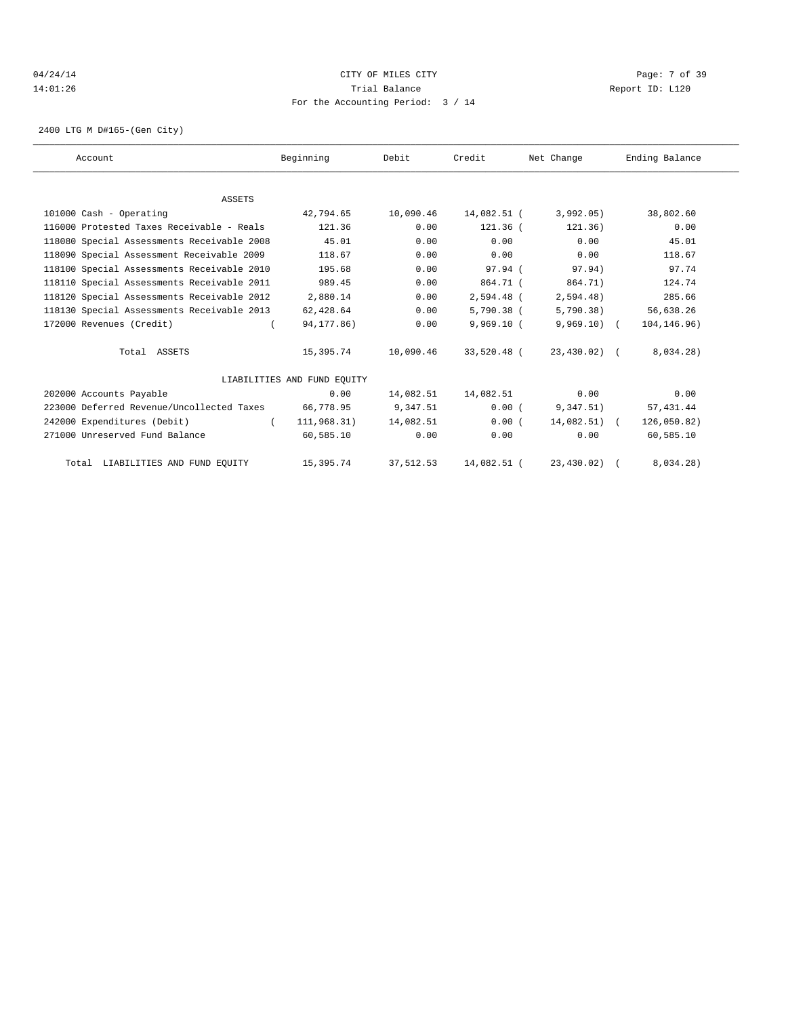## 04/24/14 Page: 7 of 39 14:01:26 Trial Balance Report ID: L120 For the Accounting Period: 3 / 14

2400 LTG M D#165-(Gen City)

| Account                                    | Beginning                   | Debit     | Credit      | Net Change     | Ending Balance |  |
|--------------------------------------------|-----------------------------|-----------|-------------|----------------|----------------|--|
|                                            |                             |           |             |                |                |  |
| ASSETS                                     |                             |           |             |                |                |  |
| 101000 Cash - Operating                    | 42,794.65                   | 10,090.46 | 14,082.51 ( | 3,992.05)      | 38,802.60      |  |
| 116000 Protested Taxes Receivable - Reals  | 121.36                      | 0.00      | $121.36$ (  | 121.36)        | 0.00           |  |
| 118080 Special Assessments Receivable 2008 | 45.01                       | 0.00      | 0.00        | 0.00           | 45.01          |  |
| 118090 Special Assessment Receivable 2009  | 118.67                      | 0.00      | 0.00        | 0.00           | 118.67         |  |
| 118100 Special Assessments Receivable 2010 | 195.68                      | 0.00      | 97.94 (     | 97.94)         | 97.74          |  |
| 118110 Special Assessments Receivable 2011 | 989.45                      | 0.00      | 864.71 (    | 864.71)        | 124.74         |  |
| 118120 Special Assessments Receivable 2012 | 2,880.14                    | 0.00      | 2,594.48 (  | 2,594.48)      | 285.66         |  |
| 118130 Special Assessments Receivable 2013 | 62,428.64                   | 0.00      | 5,790.38 (  | 5,790.38)      | 56,638.26      |  |
| 172000 Revenues (Credit)                   | 94, 177.86)                 | 0.00      | 9,969.10(   | $9,969.10$ (   | 104, 146.96)   |  |
| Total ASSETS                               | 15,395.74                   | 10,090.46 | 33,520.48 ( | 23,430.02) (   | 8,034.28)      |  |
|                                            | LIABILITIES AND FUND EOUITY |           |             |                |                |  |
| 202000 Accounts Payable                    | 0.00                        | 14,082.51 | 14,082.51   | 0.00           | 0.00           |  |
| 223000 Deferred Revenue/Uncollected Taxes  | 66,778.95                   | 9,347.51  | 0.00(       | 9,347.51)      | 57, 431.44     |  |
| 242000 Expenditures (Debit)                | 111,968.31)                 | 14,082.51 | 0.00(       | $14,082.51)$ ( | 126,050.82)    |  |
| 271000 Unreserved Fund Balance             | 60,585.10                   | 0.00      | 0.00        | 0.00           | 60,585.10      |  |
| Total LIABILITIES AND FUND EQUITY          | 15,395.74                   | 37,512.53 | 14,082.51 ( | 23,430.02)     | 8,034.28)      |  |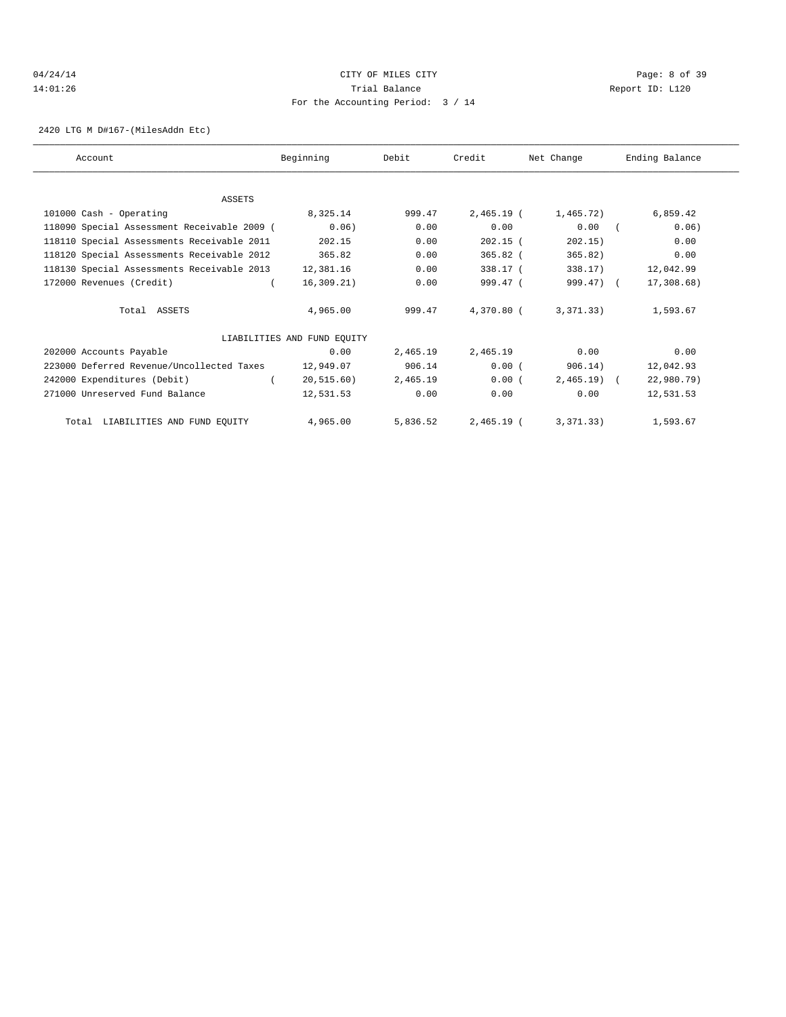## 04/24/14 CITY OF MILES CITY Page: 8 of 39 14:01:26 Trial Balance Report ID: L120 For the Accounting Period: 3 / 14

2420 LTG M D#167-(MilesAddn Etc)

| Account                                     | Beginning                   | Debit    | Credit       | Net Change   | Ending Balance |
|---------------------------------------------|-----------------------------|----------|--------------|--------------|----------------|
|                                             |                             |          |              |              |                |
| <b>ASSETS</b>                               |                             |          |              |              |                |
| 101000 Cash - Operating                     | 8,325.14                    | 999.47   | $2,465.19$ ( | 1,465.72)    | 6,859.42       |
| 118090 Special Assessment Receivable 2009 ( | 0.06)                       | 0.00     | 0.00         | 0.00         | 0.06)          |
| 118110 Special Assessments Receivable 2011  | 202.15                      | 0.00     | $202.15$ (   | 202.15)      | 0.00           |
| 118120 Special Assessments Receivable 2012  | 365.82                      | 0.00     | $365.82$ (   | 365.82)      | 0.00           |
| 118130 Special Assessments Receivable 2013  | 12,381.16                   | 0.00     | 338.17 (     | 338.17)      | 12,042.99      |
| 172000 Revenues (Credit)                    | 16, 309.21)                 | 0.00     | 999.47 (     | 999.47) (    | 17,308.68)     |
| Total ASSETS                                | 4,965.00                    | 999.47   | 4,370.80 (   | 3.371.33)    | 1,593.67       |
|                                             | LIABILITIES AND FUND EQUITY |          |              |              |                |
| 202000 Accounts Payable                     | 0.00                        | 2,465.19 | 2,465.19     | 0.00         | 0.00           |
| 223000 Deferred Revenue/Uncollected Taxes   | 12,949.07                   | 906.14   | 0.00(        | 906.14)      | 12,042.93      |
| 242000 Expenditures (Debit)                 | 20, 515.60)                 | 2,465.19 | 0.00(        | $2,465.19$ ( | 22,980.79)     |
| 271000 Unreserved Fund Balance              | 12,531.53                   | 0.00     | 0.00         | 0.00         | 12,531.53      |
| Total LIABILITIES AND FUND EQUITY           | 4,965.00                    | 5,836.52 | $2,465.19$ ( | 3,371.33)    | 1,593.67       |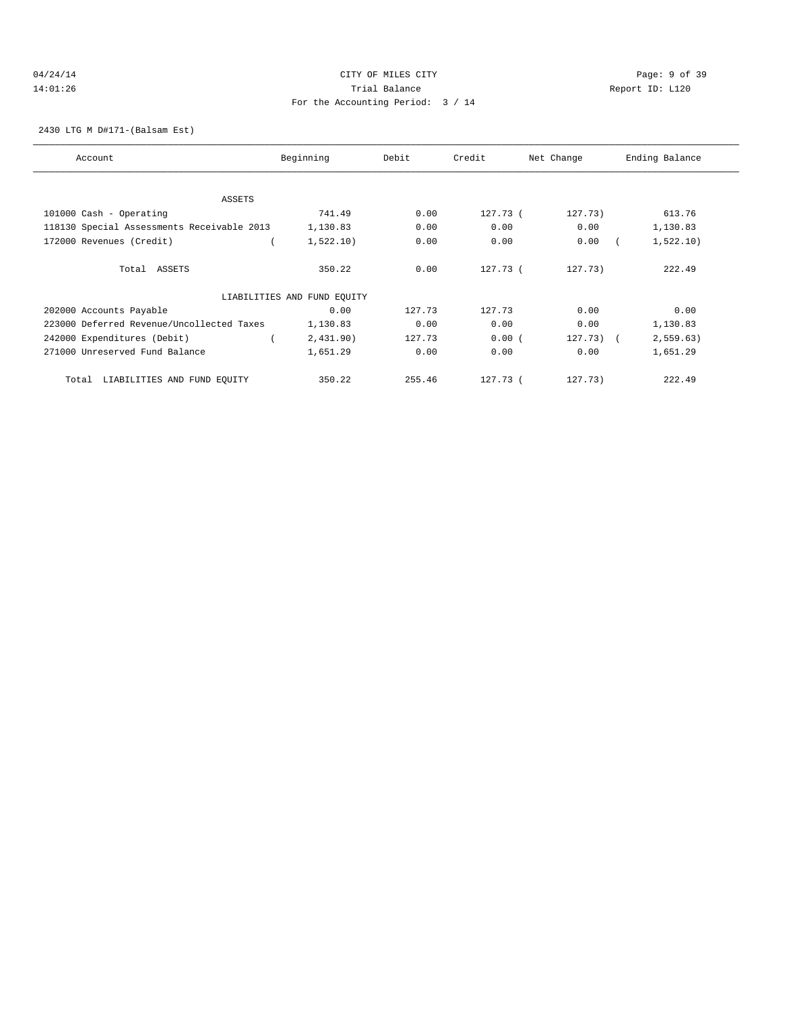### 04/24/14 CITY OF MILES CITY Page: 9 of 39 14:01:26 Trial Balance Report ID: L120 For the Accounting Period: 3 / 14

#### 2430 LTG M D#171-(Balsam Est)

| Account                                    | Beginning                   | Debit  | Credit     | Net Change  | Ending Balance |
|--------------------------------------------|-----------------------------|--------|------------|-------------|----------------|
|                                            |                             |        |            |             |                |
|                                            |                             |        |            |             |                |
| ASSETS                                     |                             |        |            |             |                |
| 101000 Cash - Operating                    | 741.49                      | 0.00   | $127.73$ ( | 127.73)     | 613.76         |
| 118130 Special Assessments Receivable 2013 | 1,130.83                    | 0.00   | 0.00       | 0.00        | 1,130.83       |
| 172000 Revenues (Credit)                   | 1,522.10)                   | 0.00   | 0.00       | 0.00        | 1,522.10)      |
| Total ASSETS                               | 350.22                      | 0.00   | 127.73 (   | 127.73)     | 222.49         |
|                                            | LIABILITIES AND FUND EQUITY |        |            |             |                |
| 202000 Accounts Payable                    | 0.00                        | 127.73 | 127.73     | 0.00        | 0.00           |
| 223000 Deferred Revenue/Uncollected Taxes  | 1,130.83                    | 0.00   | 0.00       | 0.00        | 1,130.83       |
| 242000 Expenditures (Debit)                | 2,431.90)                   | 127.73 | 0.00(      | $127.73)$ ( | 2,559.63)      |
| 271000 Unreserved Fund Balance             | 1,651.29                    | 0.00   | 0.00       | 0.00        | 1,651.29       |
| LIABILITIES AND FUND EQUITY<br>Total       | 350.22                      | 255.46 | $127.73$ ( | 127.73)     | 222.49         |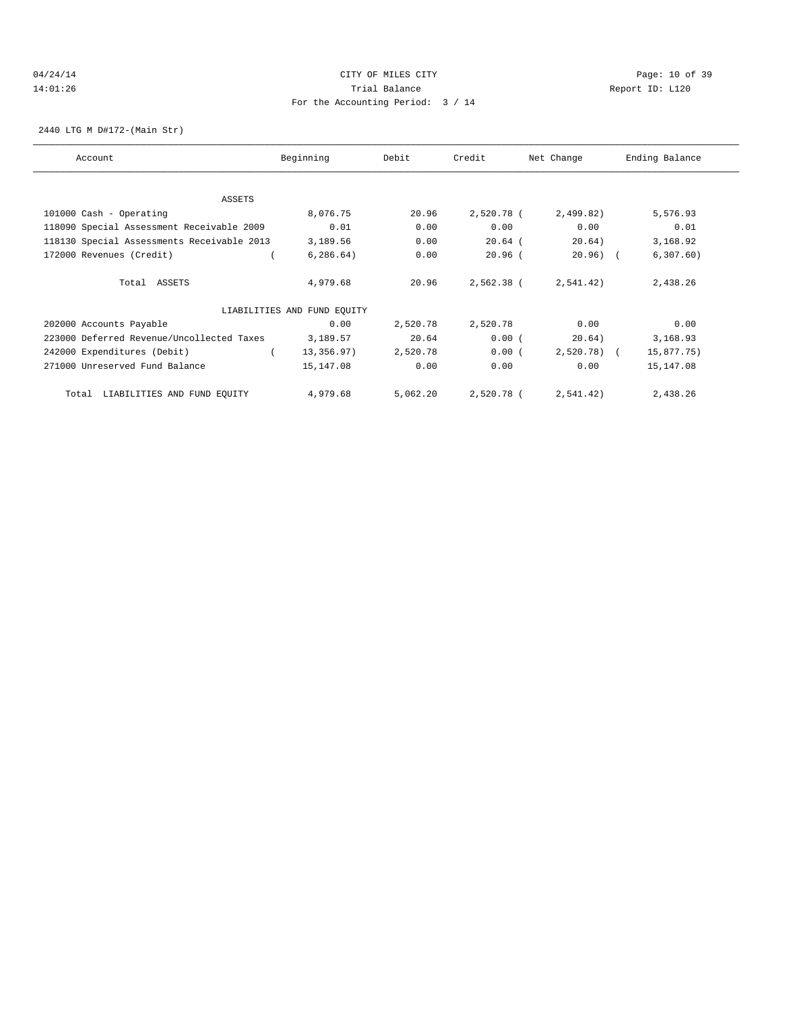## 04/24/14 Page: 10 of 39 14:01:26 Trial Balance Report ID: L120 For the Accounting Period: 3 / 14

2440 LTG M D#172-(Main Str)

| Account                                    | Beginning                   | Debit    | Credit     | Net Change   | Ending Balance |
|--------------------------------------------|-----------------------------|----------|------------|--------------|----------------|
| ASSETS                                     |                             |          |            |              |                |
| 101000 Cash - Operating                    | 8,076.75                    | 20.96    | 2,520.78 ( | 2,499.82)    | 5,576.93       |
| 118090 Special Assessment Receivable 2009  | 0.01                        | 0.00     | 0.00       | 0.00         | 0.01           |
| 118130 Special Assessments Receivable 2013 | 3,189.56                    | 0.00     | $20.64$ (  | 20.64)       | 3,168.92       |
| 172000 Revenues (Credit)                   | 6, 286.64)                  | 0.00     | $20.96$ (  | $20.96$ (    | 6, 307.60)     |
| Total ASSETS                               | 4,979.68                    | 20.96    | 2,562.38 ( | 2,541.42)    | 2,438.26       |
|                                            | LIABILITIES AND FUND EQUITY |          |            |              |                |
| 202000 Accounts Payable                    | 0.00                        | 2,520.78 | 2,520.78   | 0.00         | 0.00           |
| 223000 Deferred Revenue/Uncollected Taxes  | 3,189.57                    | 20.64    | 0.00(      | 20.64)       | 3,168.93       |
| 242000 Expenditures (Debit)                | 13,356.97)                  | 2,520.78 | 0.00(      | $2,520.78$ ( | 15,877.75)     |
| 271000 Unreserved Fund Balance             | 15,147.08                   | 0.00     | 0.00       | 0.00         | 15,147.08      |
| LIABILITIES AND FUND EQUITY<br>Total       | 4,979.68                    | 5,062.20 | 2,520.78 ( | 2,541.42)    | 2,438.26       |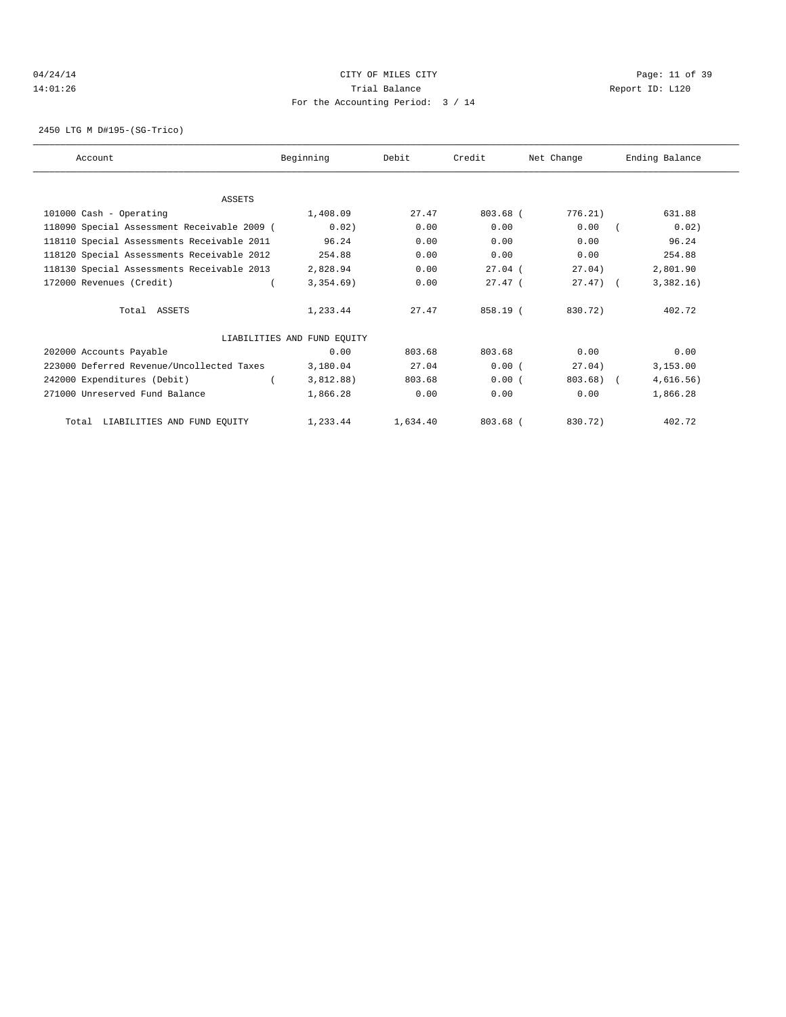### 04/24/14 Page: 11 of 39 14:01:26 Trial Balance Report ID: L120 For the Accounting Period: 3 / 14

2450 LTG M D#195-(SG-Trico)

| Account                                     | Beginning                   | Debit    | Credit     | Net Change  | Ending Balance |
|---------------------------------------------|-----------------------------|----------|------------|-------------|----------------|
|                                             |                             |          |            |             |                |
| ASSETS                                      |                             |          |            |             |                |
| 101000 Cash - Operating                     | 1,408.09                    | 27.47    | 803.68 (   | 776.21)     | 631.88         |
| 118090 Special Assessment Receivable 2009 ( | 0.02)                       | 0.00     | 0.00       | 0.00        | 0.02)          |
| 118110 Special Assessments Receivable 2011  | 96.24                       | 0.00     | 0.00       | 0.00        | 96.24          |
| 118120 Special Assessments Receivable 2012  | 254.88                      | 0.00     | 0.00       | 0.00        | 254.88         |
| 118130 Special Assessments Receivable 2013  | 2,828.94                    | 0.00     | $27.04$ (  | 27.04)      | 2,801.90       |
| 172000 Revenues (Credit)                    | 3,354.69)                   | 0.00     | $27.47$ (  | $27.47$ ) ( | 3,382.16)      |
| Total ASSETS                                | 1,233.44                    | 27.47    | 858.19 (   | 830.72)     | 402.72         |
|                                             | LIABILITIES AND FUND EQUITY |          |            |             |                |
| 202000 Accounts Payable                     | 0.00                        | 803.68   | 803.68     | 0.00        | 0.00           |
| 223000 Deferred Revenue/Uncollected Taxes   | 3,180.04                    | 27.04    | 0.00(      | 27.04)      | 3,153.00       |
| 242000 Expenditures (Debit)                 | 3,812.88)                   | 803.68   | 0.00(      | $803.68$ (  | 4,616.56)      |
| 271000 Unreserved Fund Balance              | 1,866.28                    | 0.00     | 0.00       | 0.00        | 1,866.28       |
| Total LIABILITIES AND FUND EQUITY           | 1,233.44                    | 1,634.40 | $803.68$ ( | 830.72)     | 402.72         |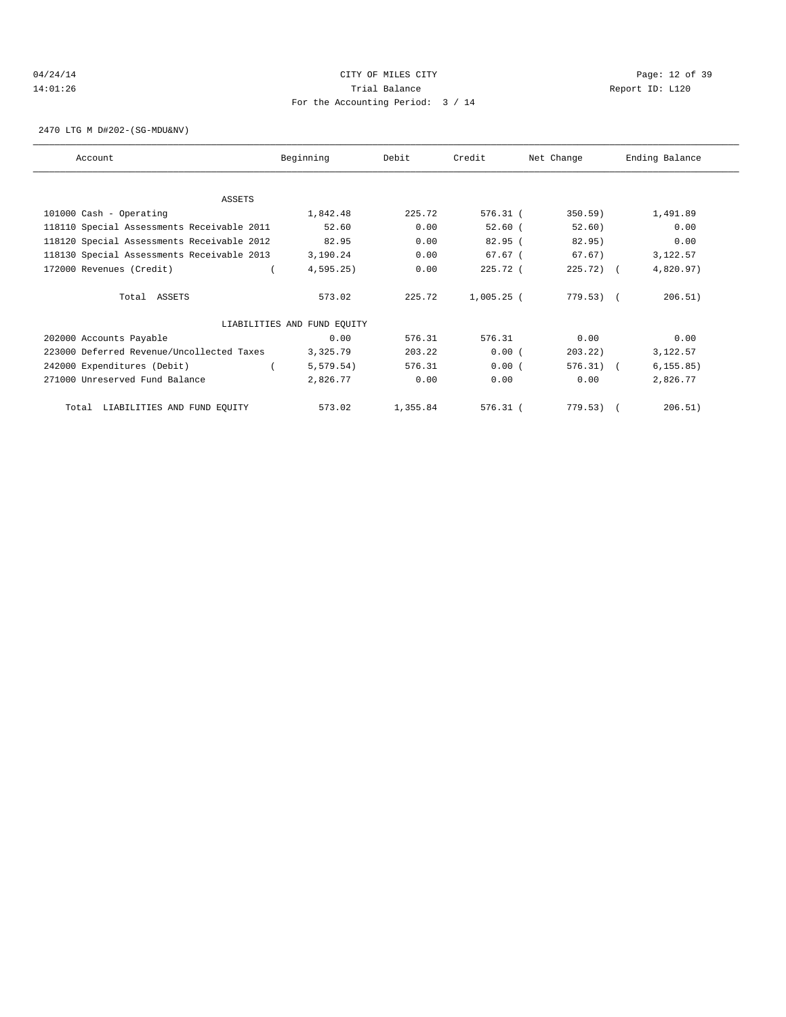### 04/24/14 Page: 12 of 39 14:01:26 Trial Balance Report ID: L120 For the Accounting Period: 3 / 14

2470 LTG M D#202-(SG-MDU&NV)

| Account                                    | Beginning                   | Debit    | Credit       | Net Change   | Ending Balance |
|--------------------------------------------|-----------------------------|----------|--------------|--------------|----------------|
|                                            |                             |          |              |              |                |
| ASSETS                                     |                             |          |              |              |                |
| 101000 Cash - Operating                    | 1,842.48                    | 225.72   | $576.31$ (   | 350.59)      | 1,491.89       |
| 118110 Special Assessments Receivable 2011 | 52.60                       | 0.00     | $52.60$ (    | 52.60)       | 0.00           |
| 118120 Special Assessments Receivable 2012 | 82.95                       | 0.00     | 82.95(       | 82.95)       | 0.00           |
| 118130 Special Assessments Receivable 2013 | 3,190.24                    | 0.00     | $67.67$ (    | 67.67)       | 3,122.57       |
| 172000 Revenues (Credit)                   | 4,595.25                    | 0.00     | 225.72(      | $225.72$ ) ( | 4,820.97)      |
| Total ASSETS                               | 573.02                      | 225.72   | $1,005.25$ ( | 779.53) (    | 206.51)        |
|                                            | LIABILITIES AND FUND EQUITY |          |              |              |                |
| 202000 Accounts Payable                    | 0.00                        | 576.31   | 576.31       | 0.00         | 0.00           |
| 223000 Deferred Revenue/Uncollected Taxes  | 3,325.79                    | 203.22   | 0.00(        | 203.22)      | 3,122.57       |
| 242000 Expenditures (Debit)                | 5,579.54)                   | 576.31   | 0.00(        | 576.31)      | 6, 155.85)     |
| 271000 Unreserved Fund Balance             | 2,826.77                    | 0.00     | 0.00         | 0.00         | 2,826.77       |
| LIABILITIES AND FUND EQUITY<br>Total       | 573.02                      | 1,355.84 | $576.31$ (   | 779.53)      | 206.51)        |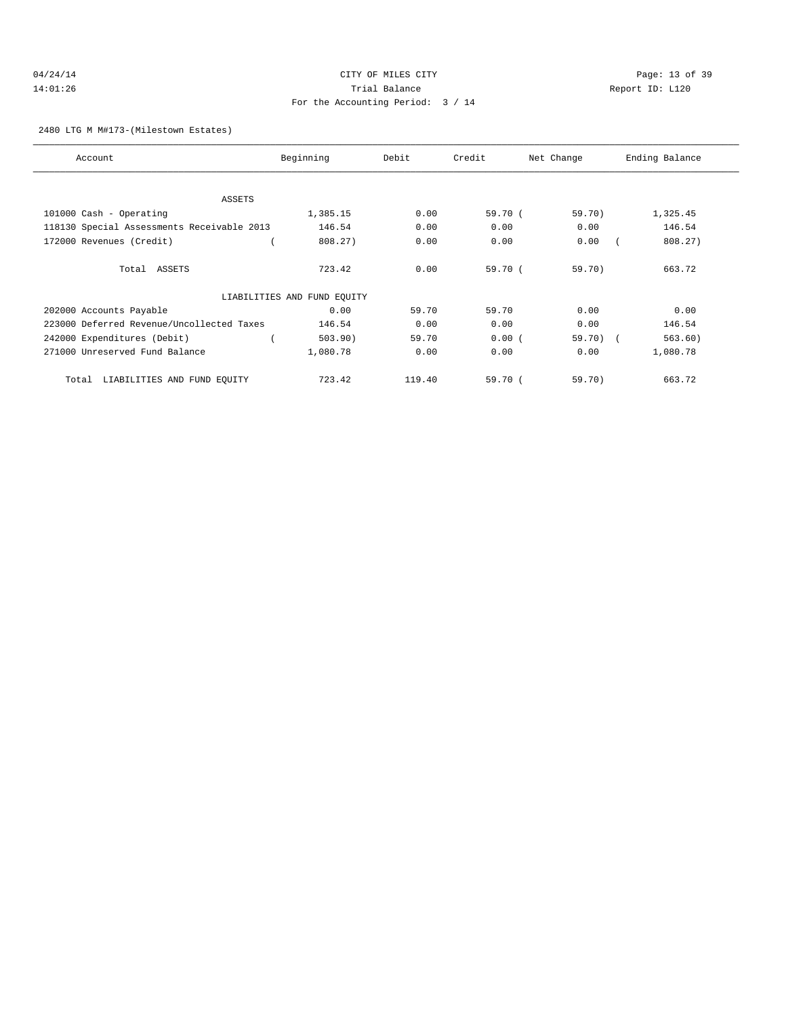## 04/24/14 Page: 13 of 39 14:01:26 Trial Balance Report ID: L120 For the Accounting Period: 3 / 14

2480 LTG M M#173-(Milestown Estates)

| Account                                    | Beginning                   | Debit  | Credit  | Net Change | Ending Balance |
|--------------------------------------------|-----------------------------|--------|---------|------------|----------------|
|                                            |                             |        |         |            |                |
| <b>ASSETS</b>                              |                             |        |         |            |                |
| 101000 Cash - Operating                    | 1,385.15                    | 0.00   | 59.70 ( | 59.70)     | 1,325.45       |
| 118130 Special Assessments Receivable 2013 | 146.54                      | 0.00   | 0.00    | 0.00       | 146.54         |
| 172000 Revenues (Credit)                   | 808.27)                     | 0.00   | 0.00    | 0.00       | 808.27)        |
| Total ASSETS                               | 723.42                      | 0.00   | 59.70(  | 59.70      | 663.72         |
|                                            | LIABILITIES AND FUND EQUITY |        |         |            |                |
| 202000 Accounts Payable                    | 0.00                        | 59.70  | 59.70   | 0.00       | 0.00           |
| 223000 Deferred Revenue/Uncollected Taxes  | 146.54                      | 0.00   | 0.00    | 0.00       | 146.54         |
| 242000 Expenditures (Debit)                | 503.90)                     | 59.70  | 0.00(   | $59.70$ (  | 563.60)        |
| 271000 Unreserved Fund Balance             | 1,080.78                    | 0.00   | 0.00    | 0.00       | 1,080.78       |
| LIABILITIES AND FUND EQUITY<br>Total       | 723.42                      | 119.40 | 59.70(  | 59.70)     | 663.72         |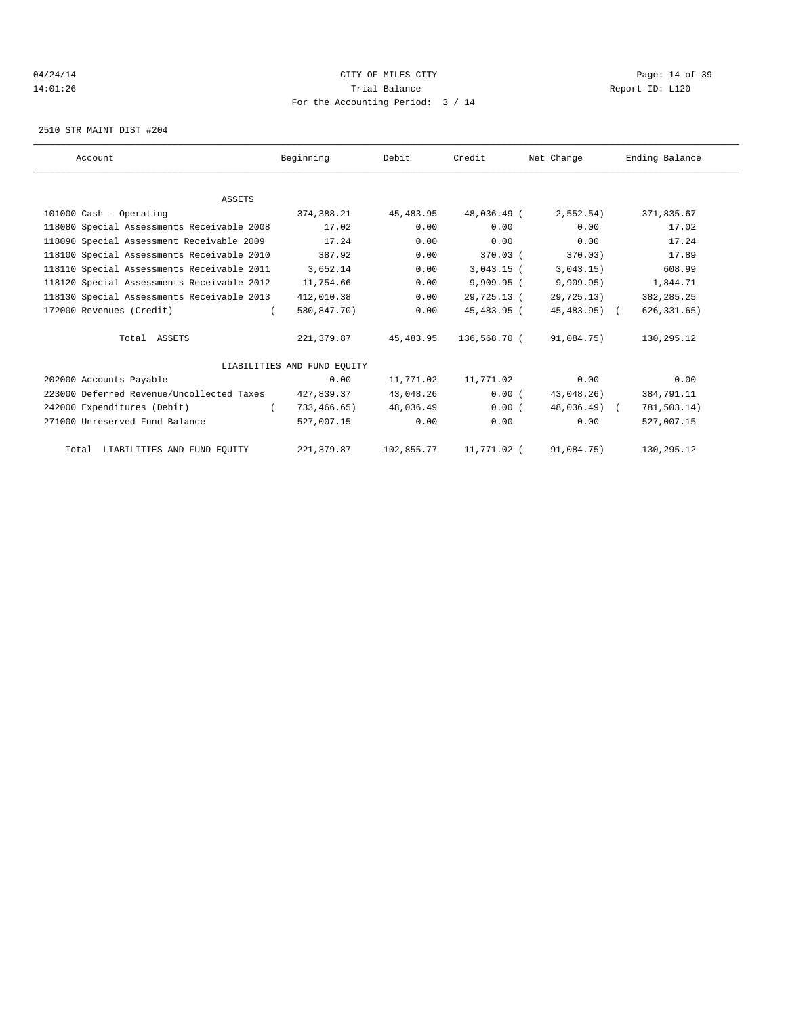## 04/24/14 Page: 14 of 39 14:01:26 Trial Balance Report ID: L120 For the Accounting Period: 3 / 14

2510 STR MAINT DIST #204

| Account                                    | Beginning                   | Debit      | Credit       | Net Change   | Ending Balance |
|--------------------------------------------|-----------------------------|------------|--------------|--------------|----------------|
|                                            |                             |            |              |              |                |
| <b>ASSETS</b>                              |                             |            |              |              |                |
| 101000 Cash - Operating                    | 374,388.21                  | 45,483.95  | 48,036.49 (  | 2,552.54)    | 371,835.67     |
| 118080 Special Assessments Receivable 2008 | 17.02                       | 0.00       | 0.00         | 0.00         | 17.02          |
| 118090 Special Assessment Receivable 2009  | 17.24                       | 0.00       | 0.00         | 0.00         | 17.24          |
| 118100 Special Assessments Receivable 2010 | 387.92                      | 0.00       | 370.03 (     | 370.03)      | 17.89          |
| 118110 Special Assessments Receivable 2011 | 3,652.14                    | 0.00       | $3,043.15$ ( | 3,043.15)    | 608.99         |
| 118120 Special Assessments Receivable 2012 | 11,754.66                   | 0.00       | $9,909.95$ ( | 9,909.95)    | 1,844.71       |
| 118130 Special Assessments Receivable 2013 | 412,010.38                  | 0.00       | 29,725.13 (  | 29,725.13)   | 382, 285.25    |
| 172000 Revenues (Credit)                   | 580,847.70)                 | 0.00       | 45,483.95 (  | 45,483.95) ( | 626, 331.65)   |
| Total ASSETS                               | 221,379.87                  | 45,483.95  | 136,568.70 ( | 91,084.75)   | 130,295.12     |
|                                            | LIABILITIES AND FUND EQUITY |            |              |              |                |
| 202000 Accounts Payable                    | 0.00                        | 11,771.02  | 11,771.02    | 0.00         | 0.00           |
| 223000 Deferred Revenue/Uncollected Taxes  | 427,839.37                  | 43,048.26  | 0.00(        | 43,048.26)   | 384,791.11     |
| 242000 Expenditures (Debit)                | 733,466.65)                 | 48,036.49  | 0.00(        | 48,036.49) ( | 781,503.14)    |
| 271000 Unreserved Fund Balance             | 527,007.15                  | 0.00       | 0.00         | 0.00         | 527,007.15     |
| Total LIABILITIES AND FUND EQUITY          | 221, 379.87                 | 102,855.77 | 11,771.02 (  | 91,084.75)   | 130,295.12     |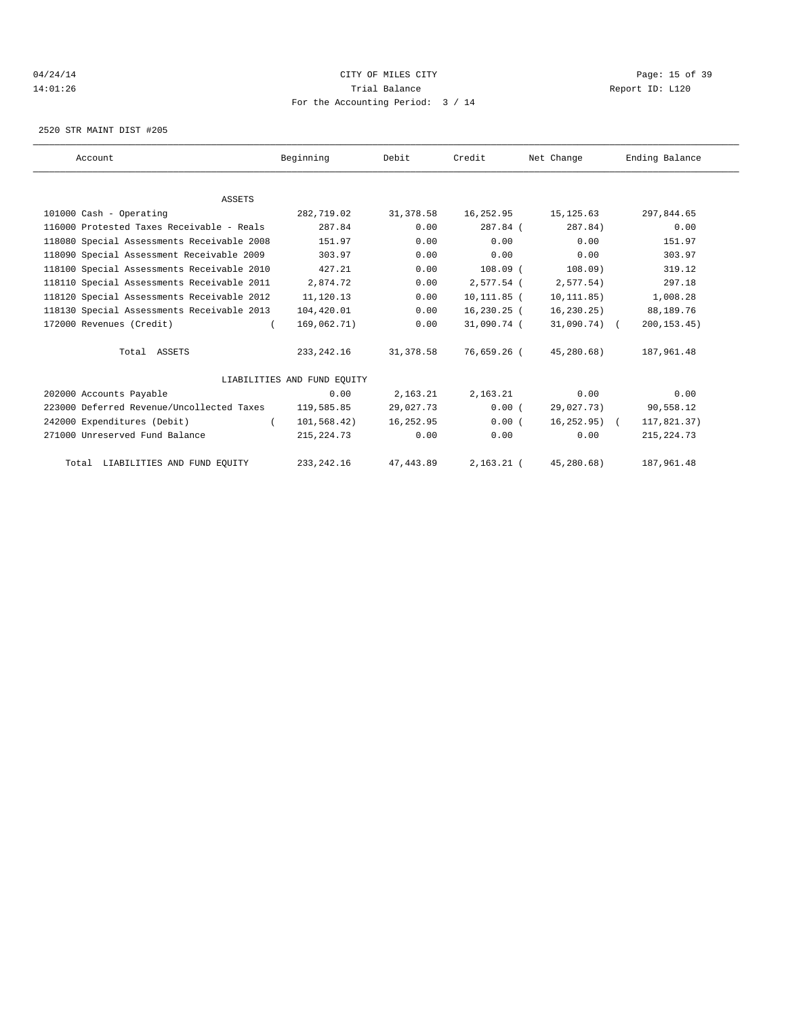## 04/24/14 Page: 15 of 39 14:01:26 Trial Balance Report ID: L120 For the Accounting Period: 3 / 14

2520 STR MAINT DIST #205

| Account                                    | Beginning                   | Debit      | Credit         | Net Change     | Ending Balance |
|--------------------------------------------|-----------------------------|------------|----------------|----------------|----------------|
|                                            |                             |            |                |                |                |
| <b>ASSETS</b>                              |                             |            |                |                |                |
| 101000 Cash - Operating                    | 282,719.02                  | 31,378.58  | 16,252.95      | 15,125.63      | 297,844.65     |
| 116000 Protested Taxes Receivable - Reals  | 287.84                      | 0.00       | $287.84$ (     | 287.84)        | 0.00           |
| 118080 Special Assessments Receivable 2008 | 151.97                      | 0.00       | 0.00           | 0.00           | 151.97         |
| 118090 Special Assessment Receivable 2009  | 303.97                      | 0.00       | 0.00           | 0.00           | 303.97         |
| 118100 Special Assessments Receivable 2010 | 427.21                      | 0.00       | $108.09$ (     | 108.09)        | 319.12         |
| 118110 Special Assessments Receivable 2011 | 2,874.72                    | 0.00       | 2,577.54 (     | 2,577.54)      | 297.18         |
| 118120 Special Assessments Receivable 2012 | 11,120.13                   | 0.00       | $10, 111.85$ ( | 10, 111.85)    | 1,008.28       |
| 118130 Special Assessments Receivable 2013 | 104,420.01                  | 0.00       | 16,230.25 (    | 16, 230.25     | 88,189.76      |
| 172000 Revenues (Credit)                   | 169,062.71)                 | 0.00       | 31,090.74 (    | $31,090.74)$ ( | 200, 153.45)   |
| Total ASSETS                               | 233, 242. 16                | 31,378.58  | 76,659.26 (    | 45,280.68)     | 187,961.48     |
|                                            | LIABILITIES AND FUND EOUITY |            |                |                |                |
| 202000 Accounts Payable                    | 0.00                        | 2,163.21   | 2,163.21       | 0.00           | 0.00           |
| 223000 Deferred Revenue/Uncollected Taxes  | 119,585.85                  | 29,027.73  | 0.00(          | 29,027.73)     | 90,558.12      |
| 242000 Expenditures (Debit)                | 101,568.42)                 | 16,252.95  | 0.00(          | $16, 252.95$ ( | 117,821.37)    |
| 271000 Unreserved Fund Balance             | 215, 224. 73                | 0.00       | 0.00           | 0.00           | 215, 224.73    |
| Total LIABILITIES AND FUND EQUITY          | 233, 242. 16                | 47, 443.89 | $2,163.21$ (   | 45,280.68)     | 187,961.48     |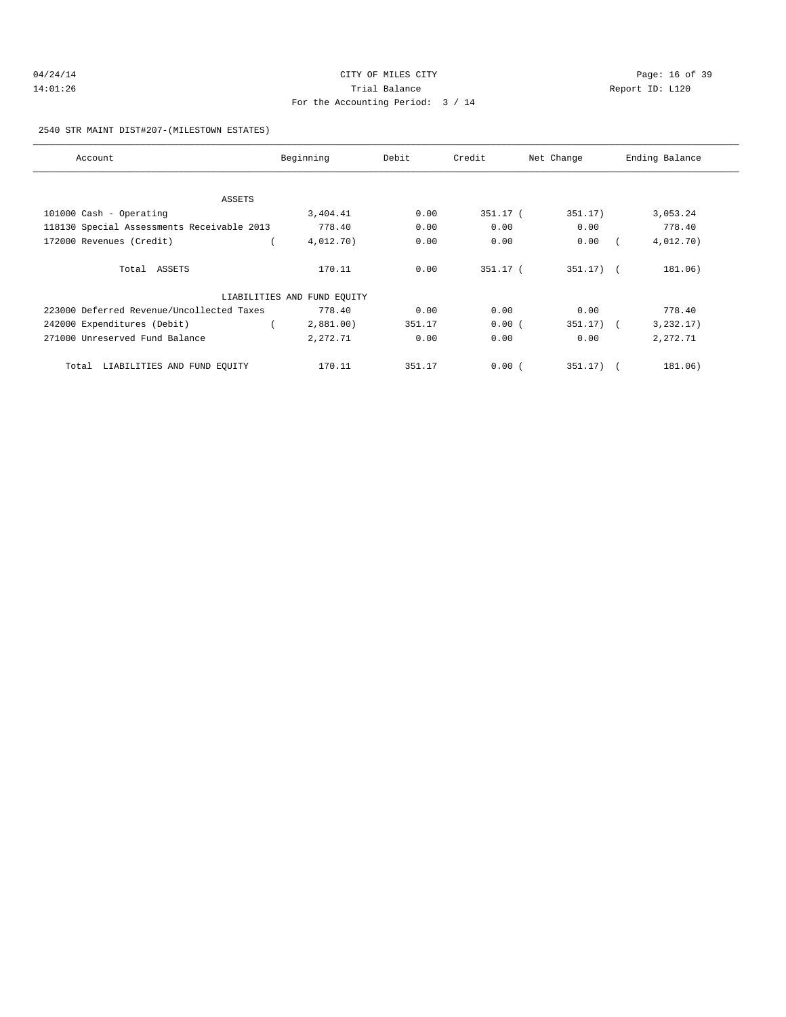| 04/24/14 | CITY OF MILES CITY                | Page: $16o$     |
|----------|-----------------------------------|-----------------|
| 14:01:26 | Trial Balance                     | Report ID: L120 |
|          | For the Accounting Period: 3 / 14 |                 |

Page: 16 of 39

#### 2540 STR MAINT DIST#207-(MILESTOWN ESTATES)

| Account                                    | Beginning                   | Debit  | Credit   | Net Change   | Ending Balance |
|--------------------------------------------|-----------------------------|--------|----------|--------------|----------------|
|                                            |                             |        |          |              |                |
| ASSETS                                     |                             |        |          |              |                |
| 101000 Cash - Operating                    | 3,404.41                    | 0.00   | 351.17 ( | 351.17)      | 3,053.24       |
| 118130 Special Assessments Receivable 2013 | 778.40                      | 0.00   | 0.00     | 0.00         | 778.40         |
| 172000 Revenues (Credit)                   | 4,012.70)                   | 0.00   | 0.00     | 0.00         | 4,012.70)      |
| Total ASSETS                               | 170.11                      | 0.00   | 351.17 ( | $351.17$ ) ( | 181.06)        |
|                                            | LIABILITIES AND FUND EQUITY |        |          |              |                |
| 223000 Deferred Revenue/Uncollected Taxes  | 778.40                      | 0.00   | 0.00     | 0.00         | 778.40         |
| 242000 Expenditures (Debit)                | 2,881.00)                   | 351.17 | 0.00(    | $351.17)$ (  | 3,232.17)      |
| 271000 Unreserved Fund Balance             | 2,272.71                    | 0.00   | 0.00     | 0.00         | 2,272.71       |
| LIABILITIES AND FUND EQUITY<br>Total       | 170.11                      | 351.17 | 0.00(    | 351.17)      | 181.06)        |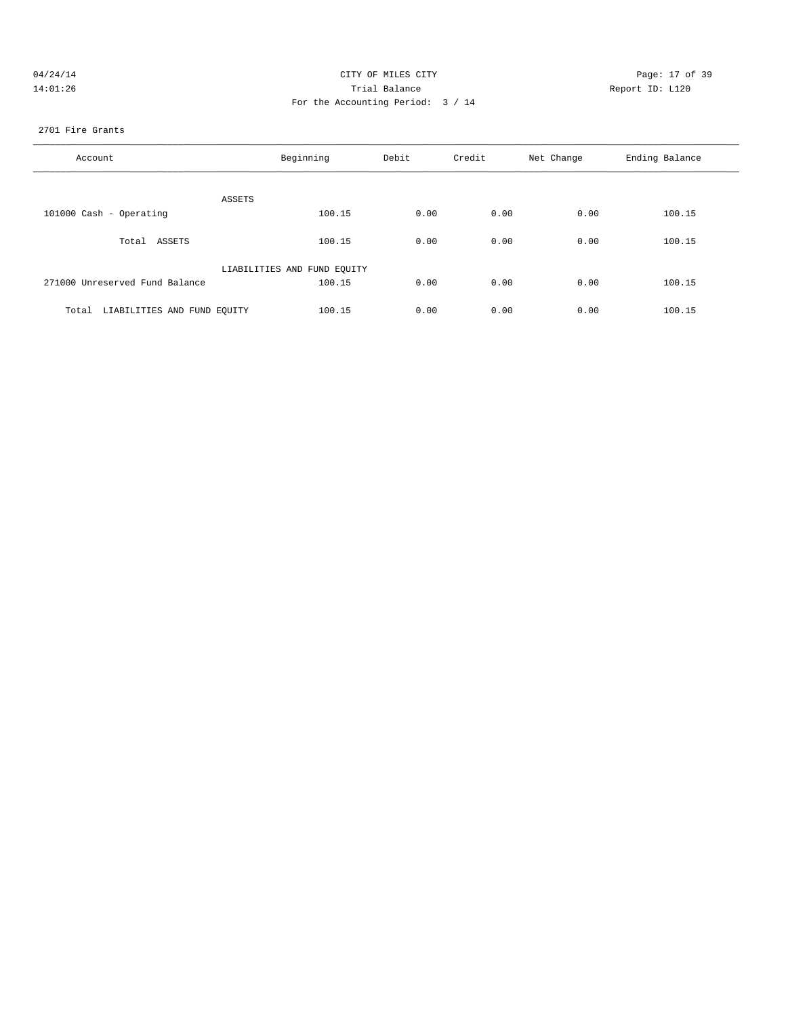| 04/24/14 | CITY OF MILES CITY                | Page: 17 of 39  |
|----------|-----------------------------------|-----------------|
| 14:01:26 | Trial Balance                     | Report ID: L120 |
|          | For the Accounting Period: 3 / 14 |                 |

#### 2701 Fire Grants

| Account                              | Beginning                   | Debit | Credit | Net Change | Ending Balance |
|--------------------------------------|-----------------------------|-------|--------|------------|----------------|
| ASSETS                               |                             |       |        |            |                |
| 101000 Cash - Operating              | 100.15                      | 0.00  | 0.00   | 0.00       | 100.15         |
| Total ASSETS                         | 100.15                      | 0.00  | 0.00   | 0.00       | 100.15         |
|                                      | LIABILITIES AND FUND EQUITY |       |        |            |                |
| 271000 Unreserved Fund Balance       | 100.15                      | 0.00  | 0.00   | 0.00       | 100.15         |
| LIABILITIES AND FUND EQUITY<br>Total | 100.15                      | 0.00  | 0.00   | 0.00       | 100.15         |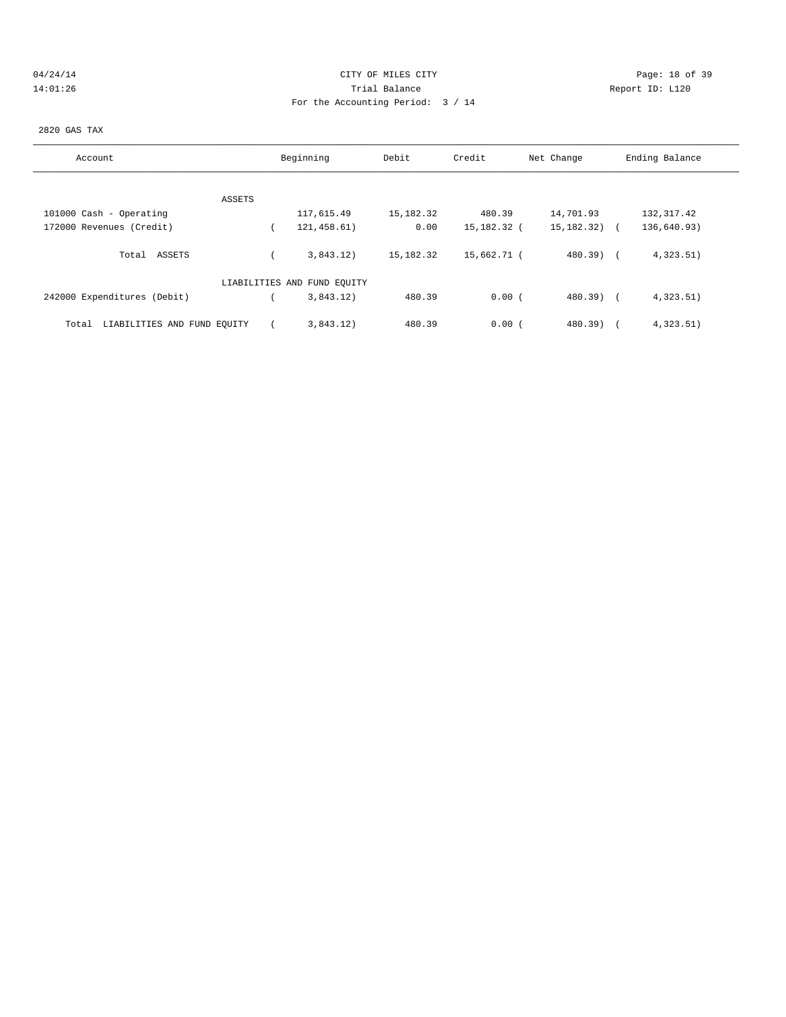|  |  |  | 04/24/14 |  |
|--|--|--|----------|--|
|  |  |  | 14:01:26 |  |

## CITY OF MILES CITY CONTROL CONTROL CONTROL CONTROL CONTROL PAGE: 18 of 39 1:01:26 Report ID: L120 For the Accounting Period: 3 / 14

## 2820 GAS TAX

| Account                              | Beginning                   | Debit       | Credit      | Net Change   | Ending Balance |
|--------------------------------------|-----------------------------|-------------|-------------|--------------|----------------|
|                                      |                             |             |             |              |                |
| ASSETS                               |                             |             |             |              |                |
| 101000 Cash - Operating              | 117,615.49                  | 15,182.32   | 480.39      | 14,701.93    | 132,317.42     |
| 172000 Revenues (Credit)             | 121,458.61)                 | 0.00        | 15,182.32 ( | 15,182.32) ( | 136,640.93)    |
| Total ASSETS                         | 3.843.12                    | 15, 182. 32 | 15,662.71 ( | 480.39) (    | 4,323.51)      |
|                                      | LIABILITIES AND FUND EOUITY |             |             |              |                |
| 242000 Expenditures (Debit)          | 3,843.12)                   | 480.39      | 0.00(       | 480.39) (    | 4,323.51)      |
| LIABILITIES AND FUND EQUITY<br>Total | 3,843.12)                   | 480.39      | $0.00$ (    | 480.39)      | 4,323.51)      |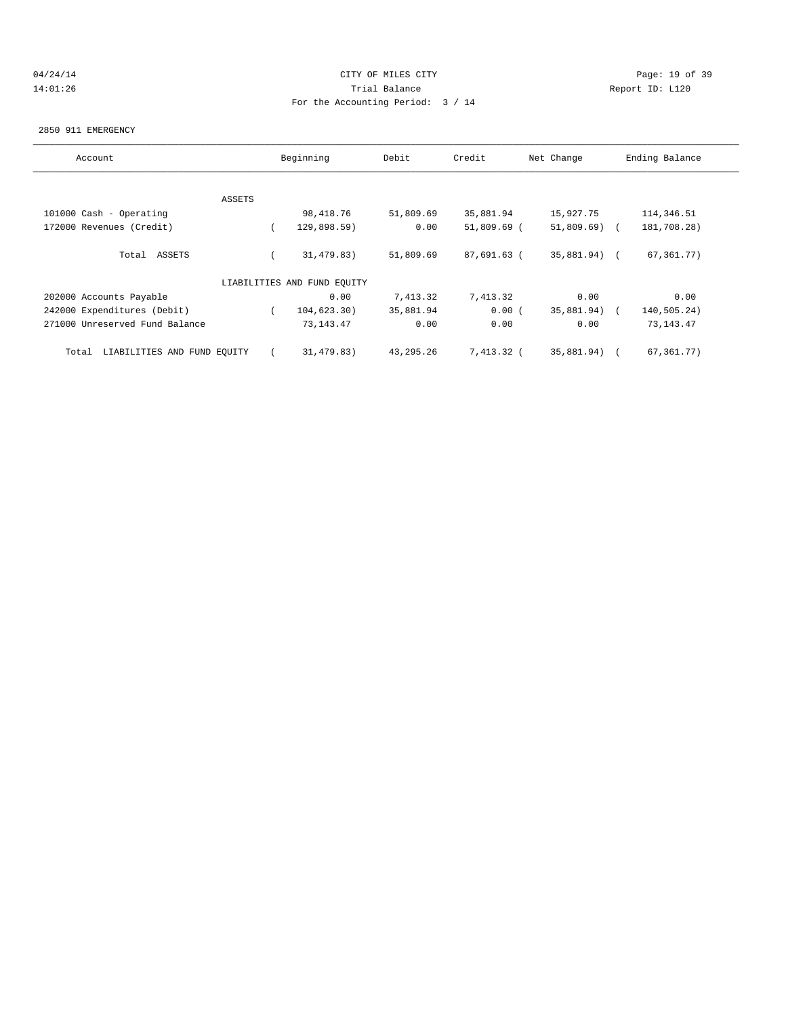### 04/24/14 Page: 19 of 39 14:01:26 Trial Balance Report ID: L120 For the Accounting Period: 3 / 14

#### 2850 911 EMERGENCY

| Account                              |        | Beginning                   | Debit     | Credit      | Net Change     | Ending Balance |
|--------------------------------------|--------|-----------------------------|-----------|-------------|----------------|----------------|
|                                      |        |                             |           |             |                |                |
|                                      | ASSETS |                             |           |             |                |                |
| 101000 Cash - Operating              |        | 98, 418.76                  | 51,809.69 | 35,881.94   | 15,927.75      | 114,346.51     |
| 172000 Revenues (Credit)             |        | 129,898.59)                 | 0.00      | 51,809.69 ( | $51,809.69)$ ( | 181,708.28)    |
| Total ASSETS                         |        | 31,479.83)                  | 51,809.69 | 87,691.63 ( | $35,881.94)$ ( | 67,361.77)     |
|                                      |        | LIABILITIES AND FUND EQUITY |           |             |                |                |
| 202000 Accounts Payable              |        | 0.00                        | 7,413.32  | 7,413.32    | 0.00           | 0.00           |
| 242000 Expenditures (Debit)          |        | 104, 623.30)                | 35,881.94 | 0.00(       | 35,881.94)     | 140,505.24)    |
| 271000 Unreserved Fund Balance       |        | 73, 143. 47                 | 0.00      | 0.00        | 0.00           | 73, 143. 47    |
| LIABILITIES AND FUND EQUITY<br>Total |        | 31,479.83)                  | 43,295.26 | 7,413.32 (  | 35,881.94)     | 67,361.77)     |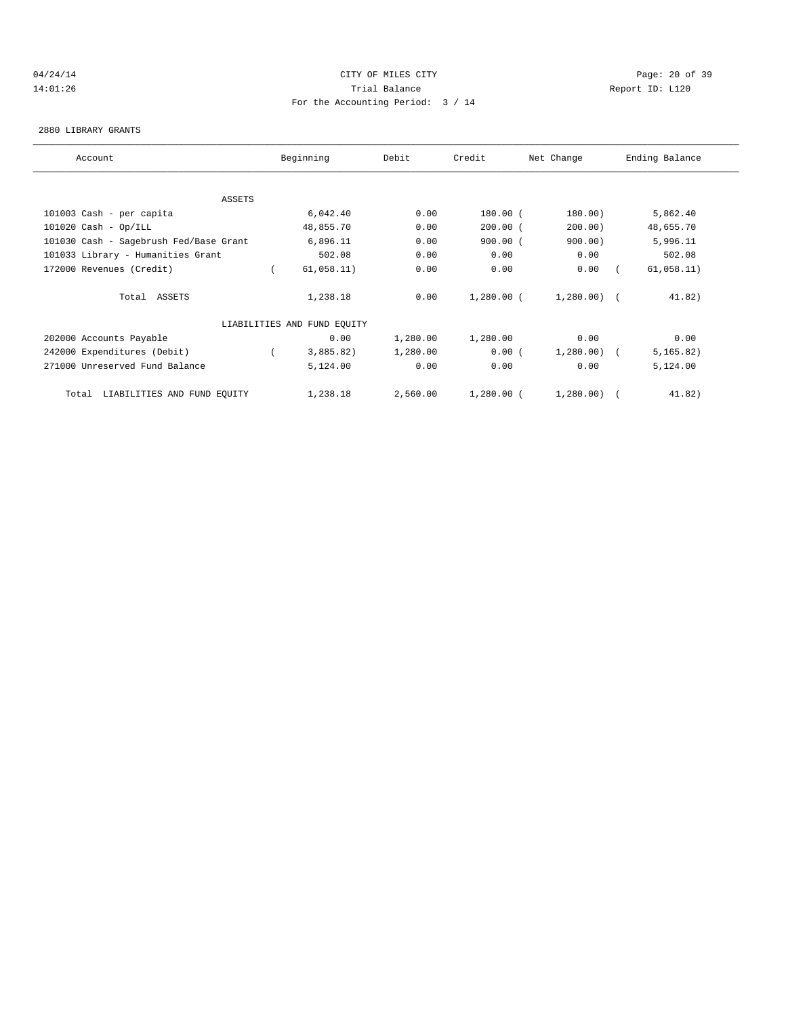## 04/24/14 Page: 20 of 39 14:01:26 Trial Balance Report ID: L120 For the Accounting Period: 3 / 14

#### 2880 LIBRARY GRANTS

| Account                                | Beginning                   | Debit            | Credit       | Net Change    | Ending Balance |  |
|----------------------------------------|-----------------------------|------------------|--------------|---------------|----------------|--|
|                                        |                             |                  |              |               |                |  |
| ASSETS                                 |                             |                  |              |               |                |  |
| 101003 Cash - per capita               | 6,042.40                    | 0.00             | 180.00 (     | 180.00)       | 5,862.40       |  |
| $101020$ Cash - Op/ILL                 | 48,855.70                   | 0.00             | $200.00$ (   | 200.00)       | 48,655.70      |  |
| 101030 Cash - Sagebrush Fed/Base Grant | 6,896.11                    | 0.00             | $900.00$ (   | 900.00)       | 5,996.11       |  |
| 101033 Library - Humanities Grant      |                             | 502.08<br>0.00   | 0.00         | 0.00          | 502.08         |  |
| 172000 Revenues (Credit)               | 61,058.11)                  | 0.00             | 0.00         | 0.00          | 61,058.11)     |  |
| Total ASSETS                           | 1,238.18                    | 0.00             | 1,280.00 (   | $1,280.00)$ ( | 41.82)         |  |
|                                        | LIABILITIES AND FUND EQUITY |                  |              |               |                |  |
| 202000 Accounts Payable                |                             | 0.00<br>1,280.00 | 1,280.00     | 0.00          | 0.00           |  |
| 242000 Expenditures (Debit)            | 3,885.82)                   | 1,280.00         | 0.00(        | $1,280.00)$ ( | 5, 165.82)     |  |
| 271000 Unreserved Fund Balance         | 5,124.00                    | 0.00             | 0.00         | 0.00          | 5,124.00       |  |
| Total LIABILITIES AND FUND EQUITY      | 1,238.18                    | 2,560.00         | $1,280.00$ ( | 1,280.00)     | 41.82)         |  |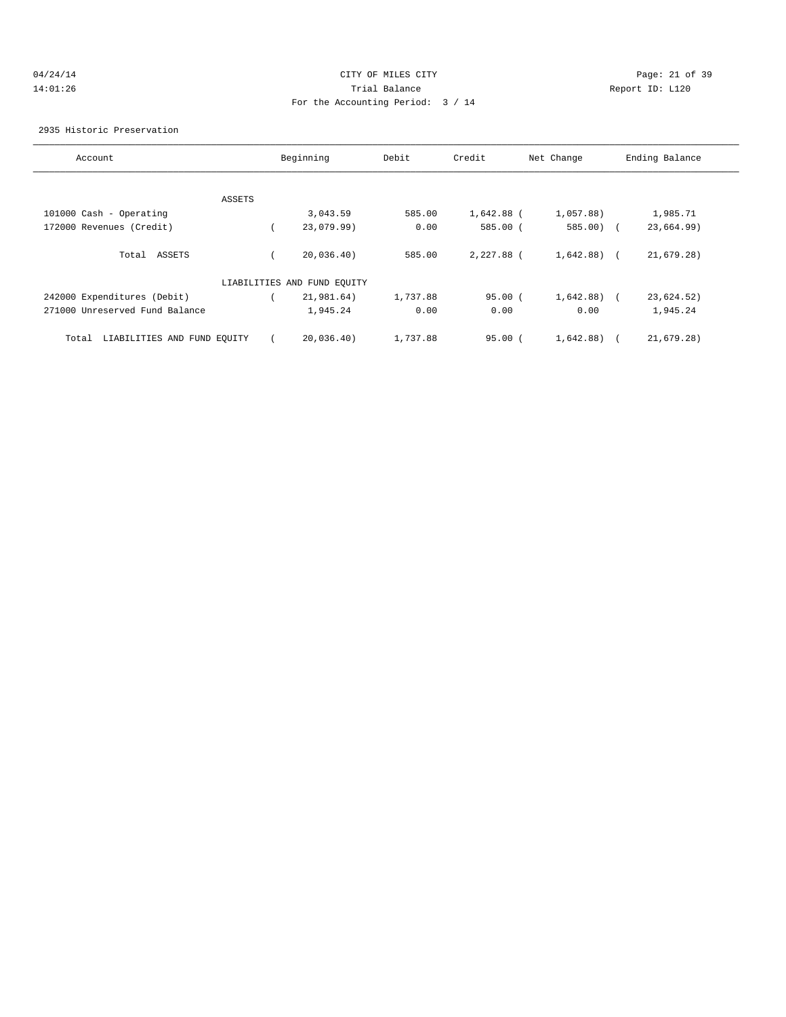| 04/24/14 | CITY OF MILES CITY                | Page: 21 of 39  |
|----------|-----------------------------------|-----------------|
| 14:01:26 | Trial Balance                     | Report ID: L120 |
|          | For the Accounting Period: 3 / 14 |                 |

2935 Historic Preservation

| Account                              | Beginning                   | Debit    | Credit       | Net Change   | Ending Balance |
|--------------------------------------|-----------------------------|----------|--------------|--------------|----------------|
|                                      |                             |          |              |              |                |
| ASSETS                               |                             |          |              |              |                |
| 101000 Cash - Operating              | 3,043.59                    | 585.00   | $1,642.88$ ( | 1,057.88)    | 1,985.71       |
| 172000 Revenues (Credit)             | 23,079.99)                  | 0.00     | 585.00 (     | $585.00$ (   | 23,664.99)     |
| Total ASSETS                         | 20,036.40)                  | 585.00   | $2.227.88$ ( | $1,642.88$ ( | 21,679.28      |
|                                      | LIABILITIES AND FUND EQUITY |          |              |              |                |
| 242000 Expenditures (Debit)          | 21,981.64)                  | 1,737.88 | 95.00(       | 1,642.88)    | 23,624.52)     |
| 271000 Unreserved Fund Balance       | 1,945.24                    | 0.00     | 0.00         | 0.00         | 1,945.24       |
| LIABILITIES AND FUND EQUITY<br>Total | 20.036.40                   | 1,737.88 | 95.00(       | 1,642.88)    | 21,679.28)     |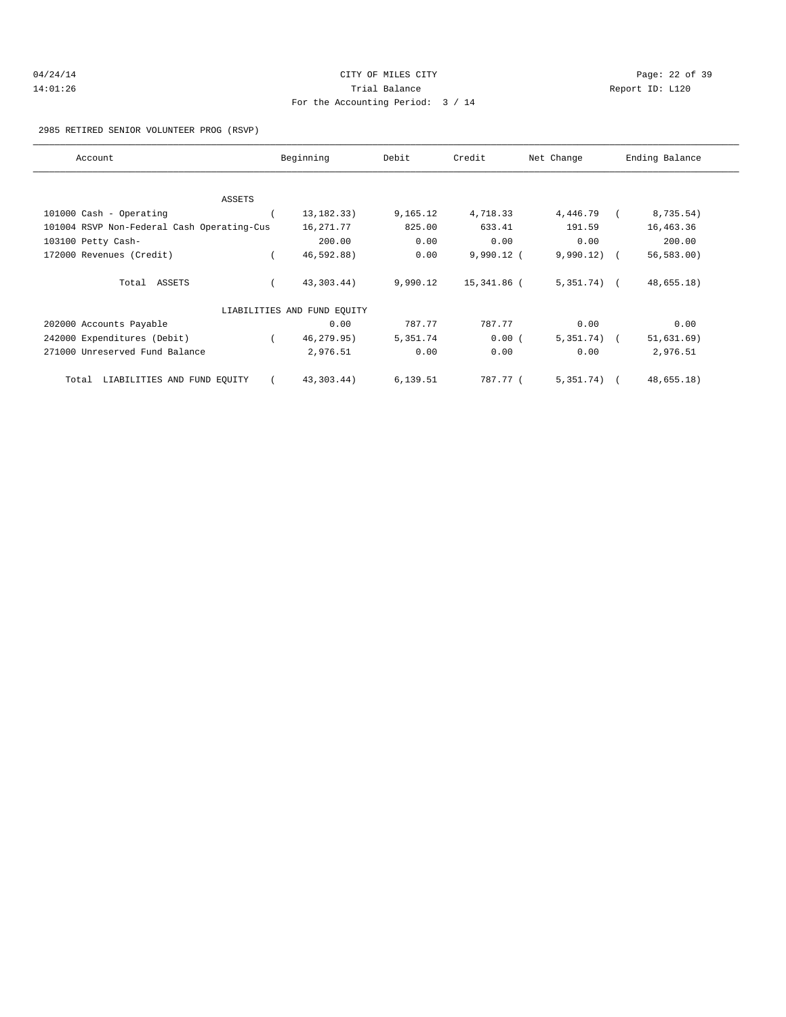| 04/24/14 | CITY OF MILES CITY                | Page: $22o$     |
|----------|-----------------------------------|-----------------|
| 14:01:26 | Trial Balance                     | Report ID: L120 |
|          | For the Accounting Period: 3 / 14 |                 |

Page: 22 of 39

#### 2985 RETIRED SENIOR VOLUNTEER PROG (RSVP)

| Account                                    | Beginning                   | Debit    | Credit       | Net Change     | Ending Balance |
|--------------------------------------------|-----------------------------|----------|--------------|----------------|----------------|
|                                            |                             |          |              |                |                |
| <b>ASSETS</b>                              |                             |          |              |                |                |
| 101000 Cash - Operating                    | 13, 182. 33)                | 9,165.12 | 4,718.33     | 4,446.79       | 8,735.54)      |
| 101004 RSVP Non-Federal Cash Operating-Cus | 16,271.77                   | 825.00   | 633.41       | 191.59         | 16,463.36      |
| 103100 Petty Cash-                         | 200.00                      | 0.00     | 0.00         | 0.00           | 200.00         |
| 172000 Revenues (Credit)                   | 46,592.88)                  | 0.00     | $9,990.12$ ( | 9,990.12)      | 56, 583.00     |
| Total ASSETS                               | 43, 303. 44)                | 9,990.12 | 15,341.86 (  | $5,351,74$ (   | 48,655.18)     |
|                                            | LIABILITIES AND FUND EQUITY |          |              |                |                |
| 202000 Accounts Payable                    | 0.00                        | 787.77   | 787.77       | 0.00           | 0.00           |
| 242000 Expenditures (Debit)                | 46,279.95)                  | 5,351.74 | 0.00(        | $5,351.74$ ) ( | 51,631.69)     |
| 271000 Unreserved Fund Balance             | 2,976.51                    | 0.00     | 0.00         | 0.00           | 2,976.51       |
| LIABILITIES AND FUND EQUITY<br>Total       | 43,303.44)                  | 6,139.51 | 787.77 (     | 5,351,74)      | 48,655.18)     |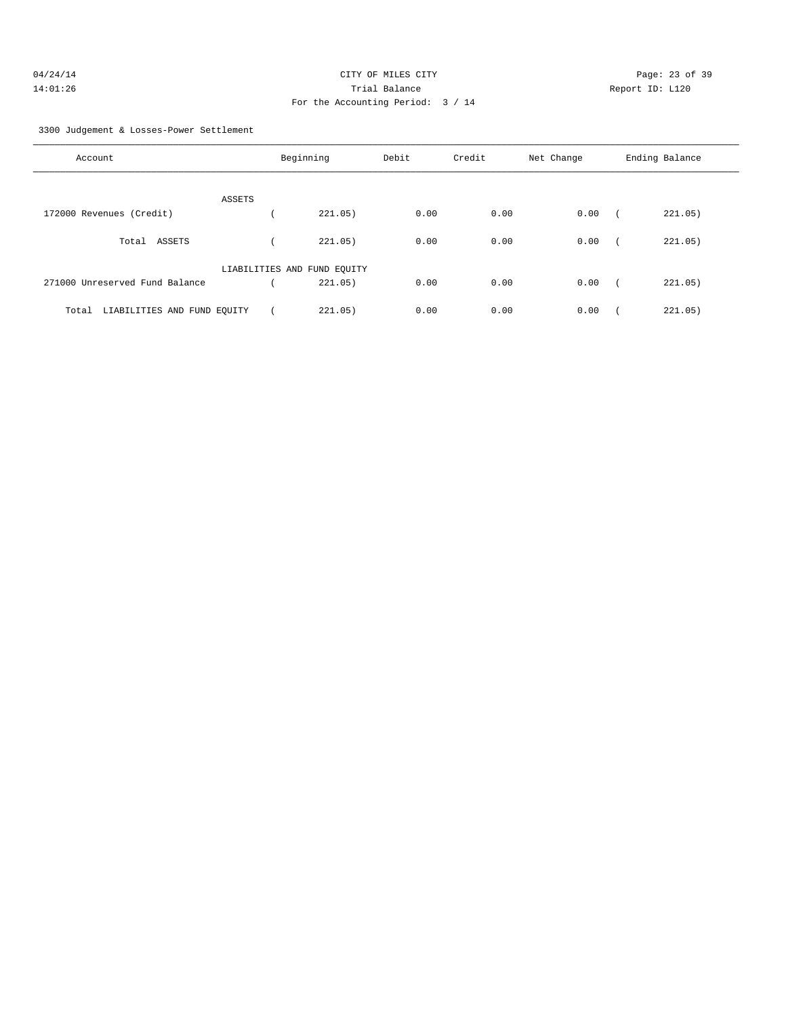| 04/24/14 | CITY OF MILES CITY                  | Page: 23 of 39  |
|----------|-------------------------------------|-----------------|
| 14:01:26 | Trial Balance                       | Report ID: L120 |
|          | For the Accounting Period: $3 / 14$ |                 |

3300 Judgement & Losses-Power Settlement

| Account                              |        | Beginning                   | Debit | Credit | Net Change | Ending Balance        |
|--------------------------------------|--------|-----------------------------|-------|--------|------------|-----------------------|
|                                      | ASSETS |                             |       |        |            |                       |
| 172000 Revenues (Credit)             |        | 221.05)                     | 0.00  | 0.00   | 0.00       | 221.05)<br>$\sqrt{2}$ |
| ASSETS<br>Total                      |        | 221.05)                     | 0.00  | 0.00   | 0.00       | 221.05)               |
|                                      |        | LIABILITIES AND FUND EQUITY |       |        |            |                       |
| 271000 Unreserved Fund Balance       |        | 221.05)                     | 0.00  | 0.00   | 0.00       | 221.05)               |
| LIABILITIES AND FUND EQUITY<br>Total |        | 221.05)                     | 0.00  | 0.00   | 0.00       | 221.05)               |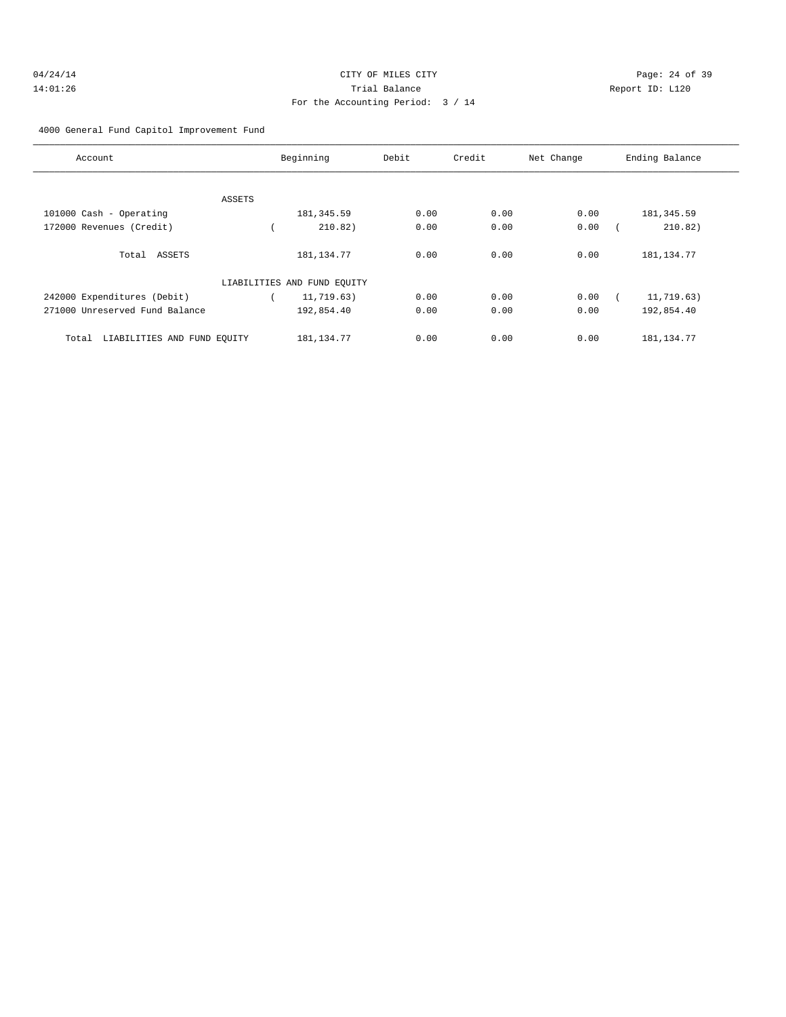| 04/24/14 | CITY OF MILES CITY                | Page: $24o$     |
|----------|-----------------------------------|-----------------|
| 14:01:26 | Trial Balance                     | Report ID: L120 |
|          | For the Accounting Period: 3 / 14 |                 |

Page: 24 of 39

# 4000 General Fund Capitol Improvement Fund

| Account                              |        | Beginning                   | Debit | Credit | Net Change | Ending Balance |
|--------------------------------------|--------|-----------------------------|-------|--------|------------|----------------|
|                                      |        |                             |       |        |            |                |
|                                      | ASSETS |                             |       |        |            |                |
| 101000 Cash - Operating              |        | 181, 345.59                 | 0.00  | 0.00   | 0.00       | 181, 345.59    |
| 172000 Revenues (Credit)             |        | 210.82)                     | 0.00  | 0.00   | 0.00       | 210.82)        |
| Total ASSETS                         |        | 181, 134. 77                | 0.00  | 0.00   | 0.00       | 181, 134.77    |
|                                      |        | LIABILITIES AND FUND EQUITY |       |        |            |                |
| 242000 Expenditures (Debit)          |        | 11,719.63)                  | 0.00  | 0.00   | 0.00       | 11,719.63)     |
| 271000 Unreserved Fund Balance       |        | 192,854.40                  | 0.00  | 0.00   | 0.00       | 192,854.40     |
| LIABILITIES AND FUND EQUITY<br>Total |        | 181, 134. 77                | 0.00  | 0.00   | 0.00       | 181, 134. 77   |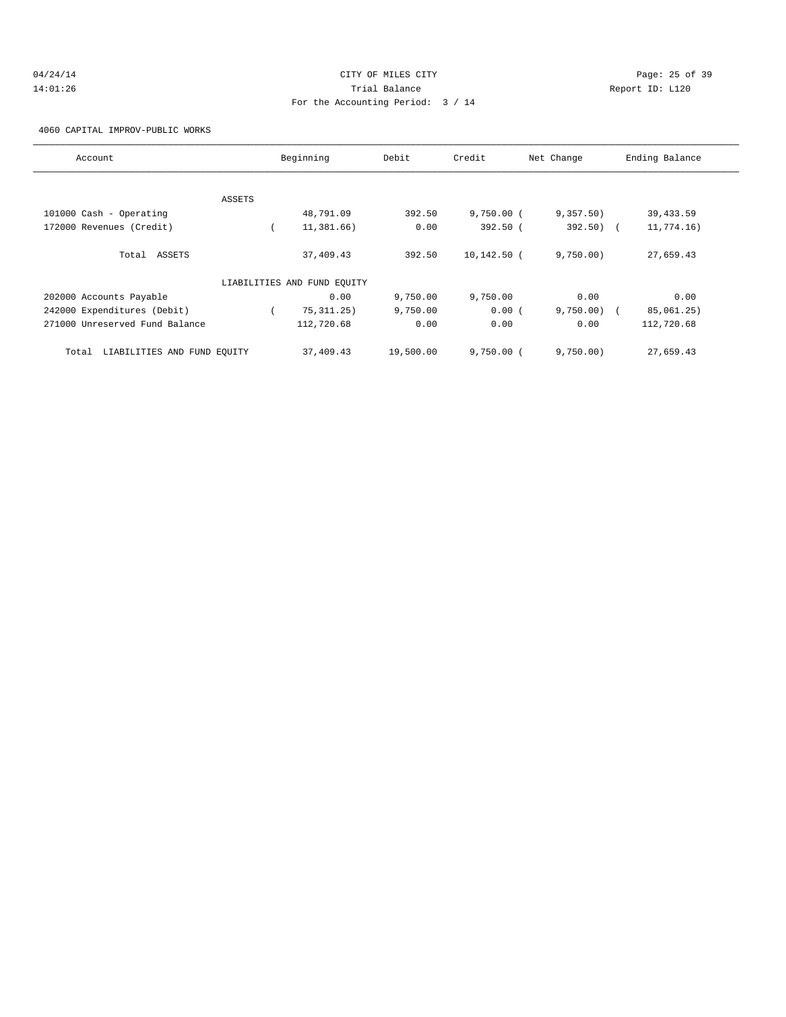## 04/24/14 Page: 25 of 39 14:01:26 Trial Balance Report ID: L120 For the Accounting Period: 3 / 14

4060 CAPITAL IMPROV-PUBLIC WORKS

| Account                              |        | Beginning                   | Debit     | Credit       | Net Change    | Ending Balance |
|--------------------------------------|--------|-----------------------------|-----------|--------------|---------------|----------------|
|                                      |        |                             |           |              |               |                |
|                                      | ASSETS |                             |           |              |               |                |
| 101000 Cash - Operating              |        | 48,791.09                   | 392.50    | $9,750.00$ ( | 9,357.50)     | 39, 433.59     |
| 172000 Revenues (Credit)             |        | 11,381.66)                  | 0.00      | $392.50$ (   | $392.50$ (    | 11,774.16)     |
| Total ASSETS                         |        | 37,409.43                   | 392.50    | 10,142.50 (  | 9,750.00)     | 27,659.43      |
|                                      |        | LIABILITIES AND FUND EOUITY |           |              |               |                |
| 202000 Accounts Payable              |        | 0.00                        | 9,750.00  | 9,750.00     | 0.00          | 0.00           |
| 242000 Expenditures (Debit)          |        | 75, 311. 25)                | 9,750.00  | 0.00(        | $9,750.00)$ ( | 85,061.25)     |
| 271000 Unreserved Fund Balance       |        | 112,720.68                  | 0.00      | 0.00         | 0.00          | 112,720.68     |
| LIABILITIES AND FUND EQUITY<br>Total |        | 37,409.43                   | 19,500.00 | $9,750.00$ ( | 9,750.00)     | 27,659.43      |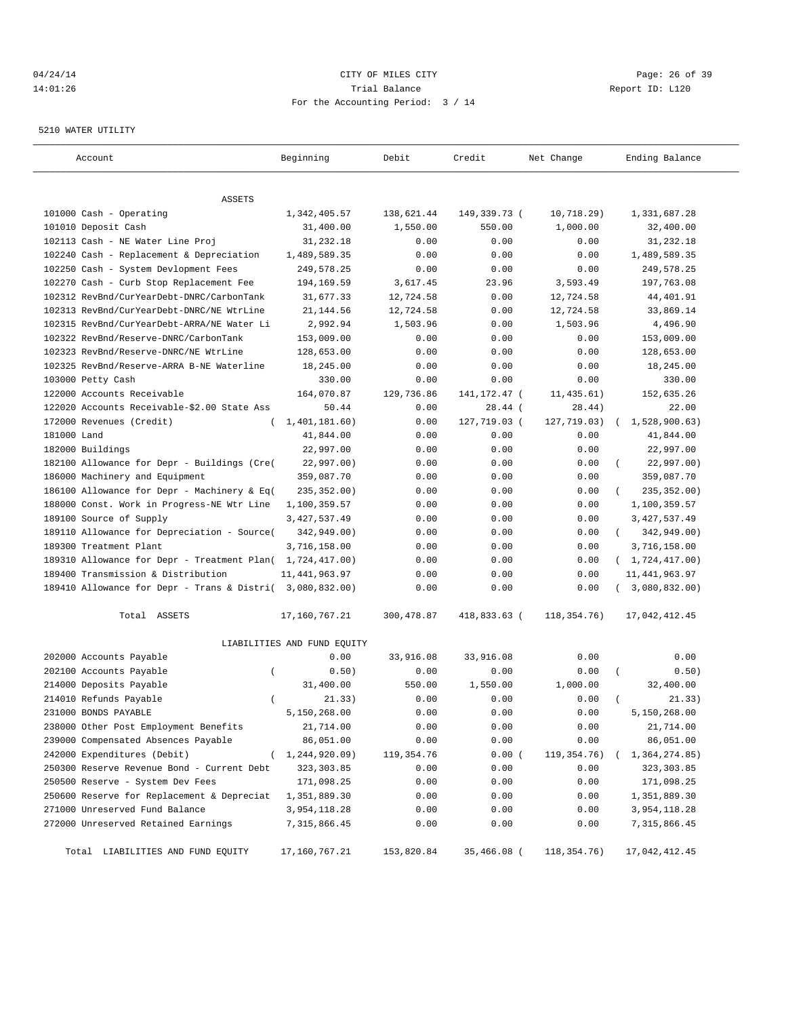### 04/24/14 Page: 26 of 39 14:01:26 Trial Balance Report ID: L120 For the Accounting Period: 3 / 14

#### 5210 WATER UTILITY

| Account                                                   | Beginning                   | Debit      | Credit         | Net Change     | Ending Balance          |
|-----------------------------------------------------------|-----------------------------|------------|----------------|----------------|-------------------------|
| ASSETS                                                    |                             |            |                |                |                         |
| 101000 Cash - Operating                                   | 1,342,405.57                | 138,621.44 | 149,339.73 (   | $10, 718.29$ ) | 1,331,687.28            |
| 101010 Deposit Cash                                       | 31,400.00                   | 1,550.00   | 550.00         | 1,000.00       | 32,400.00               |
| 102113 Cash - NE Water Line Proj                          | 31,232.18                   | 0.00       | 0.00           | 0.00           | 31,232.18               |
| 102240 Cash - Replacement & Depreciation                  | 1,489,589.35                | 0.00       | 0.00           | 0.00           | 1,489,589.35            |
| 102250 Cash - System Devlopment Fees                      | 249,578.25                  | 0.00       | 0.00           | 0.00           | 249,578.25              |
| 102270 Cash - Curb Stop Replacement Fee                   | 194,169.59                  | 3,617.45   | 23.96          | 3,593.49       | 197,763.08              |
| 102312 RevBnd/CurYearDebt-DNRC/CarbonTank                 | 31,677.33                   | 12,724.58  | 0.00           | 12,724.58      | 44,401.91               |
| 102313 RevBnd/CurYearDebt-DNRC/NE WtrLine                 | 21, 144.56                  | 12,724.58  | 0.00           | 12,724.58      | 33,869.14               |
| 102315 RevBnd/CurYearDebt-ARRA/NE Water Li                | 2,992.94                    | 1,503.96   | 0.00           | 1,503.96       | 4,496.90                |
| 102322 RevBnd/Reserve-DNRC/CarbonTank                     | 153,009.00                  | 0.00       | 0.00           | 0.00           | 153,009.00              |
| 102323 RevBnd/Reserve-DNRC/NE WtrLine                     | 128,653.00                  | 0.00       | 0.00           | 0.00           | 128,653.00              |
| 102325 RevBnd/Reserve-ARRA B-NE Waterline                 | 18,245.00                   | 0.00       | 0.00           | 0.00           | 18,245.00               |
| 103000 Petty Cash                                         | 330.00                      | 0.00       | 0.00           | 0.00           | 330.00                  |
| 122000 Accounts Receivable                                | 164,070.87                  | 129,736.86 | 141, 172. 47 ( | 11, 435.61)    | 152,635.26              |
| 122020 Accounts Receivable-\$2.00 State Ass               | 50.44                       | 0.00       | $28.44$ (      | 28.44)         | 22.00                   |
| 172000 Revenues (Credit)                                  | 1,401,181.60)               | 0.00       | 127,719.03 (   | 127,719.03)    | 1,528,900.63)           |
| 181000 Land                                               | 41,844.00                   | 0.00       | 0.00           | 0.00           | 41,844.00               |
| 182000 Buildings                                          | 22,997.00                   | 0.00       | 0.00           | 0.00           | 22,997.00               |
| 182100 Allowance for Depr - Buildings (Cre(               | 22,997.00)                  | 0.00       | 0.00           | 0.00           | 22,997.00)              |
| 186000 Machinery and Equipment                            | 359,087.70                  | 0.00       | 0.00           | 0.00           | 359,087.70              |
| 186100 Allowance for Depr - Machinery & Eq(               | 235, 352.00)                | 0.00       | 0.00           | 0.00           | 235, 352.00)            |
| 188000 Const. Work in Progress-NE Wtr Line                | 1,100,359.57                | 0.00       | 0.00           | 0.00           | 1,100,359.57            |
| 189100 Source of Supply                                   | 3, 427, 537.49              | 0.00       | 0.00           | 0.00           | 3, 427, 537.49          |
| 189110 Allowance for Depreciation - Source(               | 342,949.00)                 | 0.00       | 0.00           | 0.00           | 342,949.00)<br>$\left($ |
| 189300 Treatment Plant                                    | 3,716,158.00                | 0.00       | 0.00           | 0.00           | 3,716,158.00            |
| 189310 Allowance for Depr - Treatment Plan( 1,724,417.00) |                             | 0.00       | 0.00           | 0.00           | (1, 724, 417.00)        |
| 189400 Transmission & Distribution                        | 11, 441, 963.97             | 0.00       | 0.00           | 0.00           | 11, 441, 963.97         |
| 189410 Allowance for Depr - Trans & Distri( 3,080,832.00) |                             | 0.00       | 0.00           | 0.00           | 3,080,832.00)           |
| Total ASSETS                                              | 17,160,767.21               | 300,478.87 | 418,833.63 (   | 118,354.76)    | 17,042,412.45           |
|                                                           | LIABILITIES AND FUND EQUITY |            |                |                |                         |
| 202000 Accounts Payable                                   | 0.00                        | 33,916.08  | 33,916.08      | 0.00           | 0.00                    |
| 202100 Accounts Payable<br>$\overline{(\ }$               | 0.50)                       | 0.00       | 0.00           | 0.00           | 0.50)                   |
| 214000 Deposits Payable                                   | 31,400.00                   | 550.00     | 1,550.00       | 1,000.00       | 32,400.00               |
| 214010 Refunds Payable                                    | 21.33)                      | 0.00       | 0.00           | 0.00           | 21.33)                  |
| 231000 BONDS PAYABLE                                      | 5,150,268.00                | 0.00       | 0.00           | 0.00           | 5,150,268.00            |
| 238000 Other Post Employment Benefits                     | 21,714.00                   | 0.00       | 0.00           | 0.00           | 21,714.00               |
| 239000 Compensated Absences Payable                       | 86,051.00                   | 0.00       | 0.00           | 0.00           | 86,051.00               |
| 242000 Expenditures (Debit)                               | 1,244,920.09)               | 119,354.76 | 0.00(          | 119, 354. 76)  | 1, 364, 274.85)         |
| 250300 Reserve Revenue Bond - Current Debt                | 323, 303.85                 | 0.00       | 0.00           | 0.00           | 323, 303.85             |
| 250500 Reserve - System Dev Fees                          | 171,098.25                  | 0.00       | 0.00           | 0.00           | 171,098.25              |
| 250600 Reserve for Replacement & Depreciat                | 1,351,889.30                | 0.00       | 0.00           | 0.00           | 1,351,889.30            |
| 271000 Unreserved Fund Balance                            | 3,954,118.28                | 0.00       | 0.00           | 0.00           | 3,954,118.28            |
| 272000 Unreserved Retained Earnings                       | 7,315,866.45                | 0.00       | 0.00           | 0.00           | 7, 315, 866.45          |
| Total LIABILITIES AND FUND EQUITY                         | 17,160,767.21               | 153,820.84 | 35,466.08 (    | 118, 354. 76)  | 17,042,412.45           |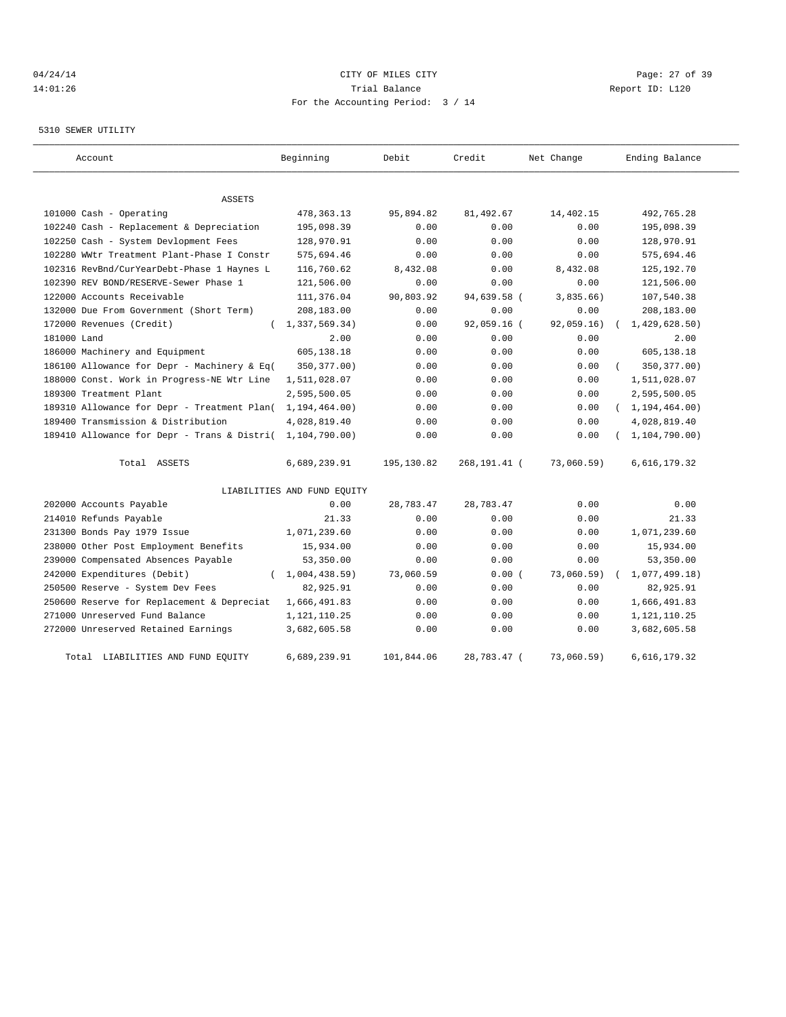## 04/24/14 Page: 27 of 39 14:01:26 Trial Balance Report ID: L120 For the Accounting Period: 3 / 14

## 5310 SEWER UTILITY

| Account                                                   | Beginning                   | Debit      | Credit       | Net Change | Ending Balance   |
|-----------------------------------------------------------|-----------------------------|------------|--------------|------------|------------------|
| <b>ASSETS</b>                                             |                             |            |              |            |                  |
| 101000 Cash - Operating                                   | 478, 363. 13                | 95,894.82  | 81, 492.67   | 14,402.15  | 492,765.28       |
| 102240 Cash - Replacement & Depreciation                  | 195,098.39                  | 0.00       | 0.00         | 0.00       | 195,098.39       |
| 102250 Cash - System Devlopment Fees                      | 128,970.91                  | 0.00       | 0.00         | 0.00       | 128,970.91       |
| 102280 WWtr Treatment Plant-Phase I Constr                | 575,694.46                  | 0.00       | 0.00         | 0.00       | 575,694.46       |
| 102316 RevBnd/CurYearDebt-Phase 1 Haynes L                | 116,760.62                  | 8,432.08   | 0.00         | 8,432.08   | 125, 192. 70     |
| 102390 REV BOND/RESERVE-Sewer Phase 1                     | 121,506.00                  | 0.00       | 0.00         | 0.00       | 121,506.00       |
| 122000 Accounts Receivable                                | 111,376.04                  | 90,803.92  | 94,639.58 (  | 3,835.66)  | 107,540.38       |
| 132000 Due From Government (Short Term)                   | 208,183.00                  | 0.00       | 0.00         | 0.00       | 208,183.00       |
| 172000 Revenues (Credit)                                  | 1,337,569.34)<br>$\left($   | 0.00       | 92,059.16 (  | 92,059.16) | 1,429,628.50)    |
| 181000 Land                                               | 2.00                        | 0.00       | 0.00         | 0.00       | 2.00             |
| 186000 Machinery and Equipment                            | 605,138.18                  | 0.00       | 0.00         | 0.00       | 605,138.18       |
| 186100 Allowance for Depr - Machinery & Eq(               | 350, 377.00)                | 0.00       | 0.00         | 0.00       | 350, 377.00)     |
| 188000 Const. Work in Progress-NE Wtr Line                | 1,511,028.07                | 0.00       | 0.00         | 0.00       | 1,511,028.07     |
| 189300 Treatment Plant                                    | 2,595,500.05                | 0.00       | 0.00         | 0.00       | 2,595,500.05     |
| 189310 Allowance for Depr - Treatment Plan(               | 1,194,464.00)               | 0.00       | 0.00         | 0.00       | (1, 194, 464.00) |
| 189400 Transmission & Distribution                        | 4,028,819.40                | 0.00       | 0.00         | 0.00       | 4,028,819.40     |
| 189410 Allowance for Depr - Trans & Distri( 1,104,790.00) |                             | 0.00       | 0.00         | 0.00       | 1, 104, 790.00)  |
| Total ASSETS                                              | 6,689,239.91                | 195,130.82 | 268,191.41 ( | 73,060.59) | 6,616,179.32     |
|                                                           | LIABILITIES AND FUND EQUITY |            |              |            |                  |
| 202000 Accounts Payable                                   | 0.00                        | 28,783.47  | 28,783.47    | 0.00       | 0.00             |
| 214010 Refunds Payable                                    | 21.33                       | 0.00       | 0.00         | 0.00       | 21.33            |
| 231300 Bonds Pay 1979 Issue                               | 1,071,239.60                | 0.00       | 0.00         | 0.00       | 1,071,239.60     |
| 238000 Other Post Employment Benefits                     | 15,934.00                   | 0.00       | 0.00         | 0.00       | 15,934.00        |
| 239000 Compensated Absences Payable                       | 53,350.00                   | 0.00       | 0.00         | 0.00       | 53,350.00        |
| 242000 Expenditures (Debit)                               | 1,004,438.59)               | 73,060.59  | 0.00(        | 73,060.59) | 1,077,499.18)    |
| 250500 Reserve - System Dev Fees                          | 82,925.91                   | 0.00       | 0.00         | 0.00       | 82,925.91        |
| 250600 Reserve for Replacement & Depreciat                | 1,666,491.83                | 0.00       | 0.00         | 0.00       | 1,666,491.83     |
| 271000 Unreserved Fund Balance                            | 1,121,110.25                | 0.00       | 0.00         | 0.00       | 1, 121, 110.25   |
| 272000 Unreserved Retained Earnings                       | 3,682,605.58                | 0.00       | 0.00         | 0.00       | 3,682,605.58     |
| Total LIABILITIES AND FUND EQUITY                         | 6,689,239.91                | 101,844.06 | 28,783.47 (  | 73,060.59) | 6,616,179.32     |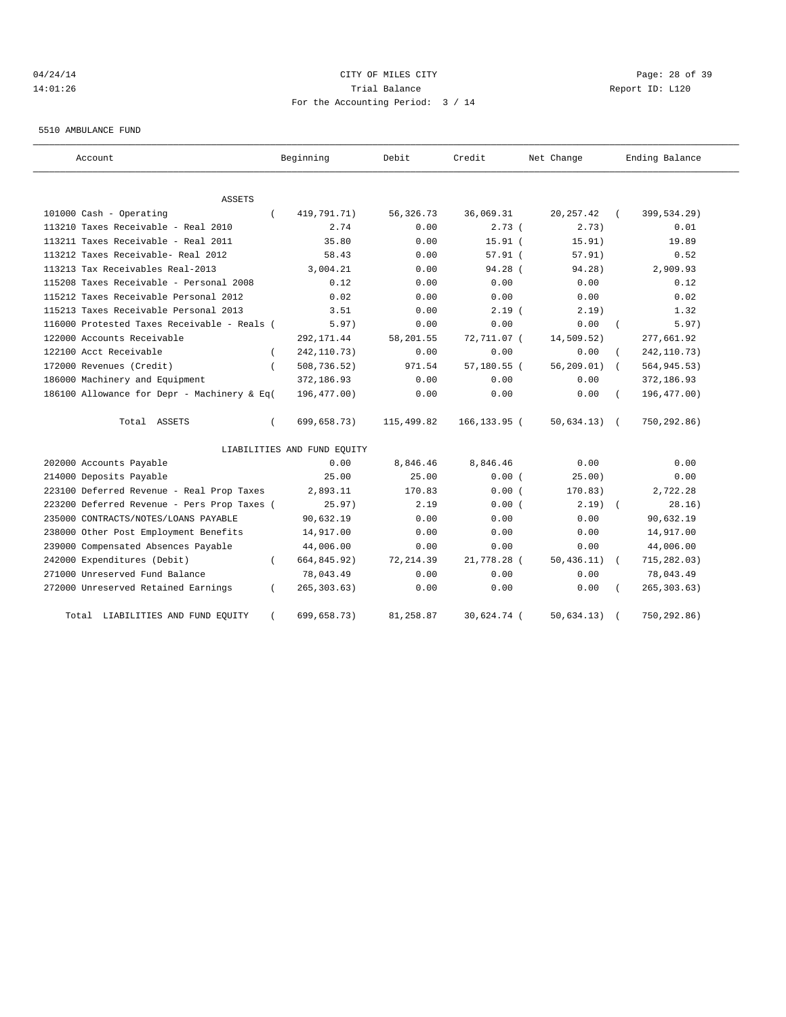### 04/24/14 Page: 28 of 39 14:01:26 Trial Balance Report ID: L120 For the Accounting Period: 3 / 14

5510 AMBULANCE FUND

| Account                                     | Beginning                   | Debit       | Credit          | Net Change     | Ending Balance             |
|---------------------------------------------|-----------------------------|-------------|-----------------|----------------|----------------------------|
|                                             |                             |             |                 |                |                            |
| ASSETS<br>101000 Cash - Operating           | 419,791.71)                 | 56, 326. 73 | 36,069.31       | 20, 257.42     | 399,534.29)                |
| 113210 Taxes Receivable - Real 2010         | 2.74                        | 0.00        | 2.73(           | 2.73)          | 0.01                       |
| 113211 Taxes Receivable - Real 2011         | 35.80                       | 0.00        | $15.91$ (       | 15.91)         | 19.89                      |
| 113212 Taxes Receivable- Real 2012          | 58.43                       | 0.00        | $57.91$ (       | 57.91)         | 0.52                       |
| 113213 Tax Receivables Real-2013            | 3,004.21                    | 0.00        | 94.28 (         | 94.28)         | 2,909.93                   |
| 115208 Taxes Receivable - Personal 2008     | 0.12                        | 0.00        | 0.00            | 0.00           | 0.12                       |
| 115212 Taxes Receivable Personal 2012       | 0.02                        | 0.00        | 0.00            | 0.00           | 0.02                       |
| 115213 Taxes Receivable Personal 2013       | 3.51                        | 0.00        | 2.19(           | 2.19)          | 1.32                       |
|                                             |                             |             |                 |                |                            |
| 116000 Protested Taxes Receivable - Reals ( | 5.97)                       | 0.00        | 0.00            | 0.00           | 5.97)                      |
| 122000 Accounts Receivable                  | 292, 171.44                 | 58,201.55   | 72,711.07 (     | 14,509.52)     | 277,661.92                 |
| 122100 Acct Receivable                      | 242, 110.73)                | 0.00        | 0.00            | 0.00           | 242, 110.73)               |
| 172000 Revenues (Credit)                    | 508,736.52)                 | 971.54      | $57,180.55$ (   | 56, 209.01)    | 564, 945.53)<br>$\sqrt{2}$ |
| 186000 Machinery and Equipment              | 372,186.93                  | 0.00        | 0.00            | 0.00           | 372,186.93                 |
| 186100 Allowance for Depr - Machinery & Eq( | 196,477.00)                 | 0.00        | 0.00            | 0.00           | 196,477.00)                |
| Total ASSETS                                | 699,658.73)                 | 115,499.82  | $166, 133.95$ ( | $50,634.13)$ ( | 750,292.86)                |
|                                             | LIABILITIES AND FUND EQUITY |             |                 |                |                            |
| 202000 Accounts Payable                     | 0.00                        | 8,846.46    | 8,846.46        | 0.00           | 0.00                       |
| 214000 Deposits Payable                     | 25.00                       | 25.00       | 0.00(           | 25.00)         | 0.00                       |
| 223100 Deferred Revenue - Real Prop Taxes   | 2,893.11                    | 170.83      | 0.00(           | 170.83)        | 2,722.28                   |
| 223200 Deferred Revenue - Pers Prop Taxes ( | 25.97)                      | 2.19        | 0.00(           | $2.19$ (       | 28.16)                     |
| 235000 CONTRACTS/NOTES/LOANS PAYABLE        | 90,632.19                   | 0.00        | 0.00            | 0.00           | 90,632.19                  |
| 238000 Other Post Employment Benefits       | 14,917.00                   | 0.00        | 0.00            | 0.00           | 14,917.00                  |
| 239000 Compensated Absences Payable         | 44,006.00                   | 0.00        | 0.00            | 0.00           | 44,006.00                  |
| 242000 Expenditures (Debit)<br>$\left($     | 664,845.92)                 | 72, 214.39  | 21,778.28 (     | 50, 436.11)    | 715,282.03)                |
| 271000 Unreserved Fund Balance              | 78,043.49                   | 0.00        | 0.00            | 0.00           | 78,043.49                  |
| 272000 Unreserved Retained Earnings         | 265, 303.63)                | 0.00        | 0.00            | 0.00           | 265, 303.63)               |
| LIABILITIES AND FUND EQUITY<br>Total        | 699,658.73)                 | 81,258.87   | 30,624.74 (     | 50,634.13)     | 750,292.86)                |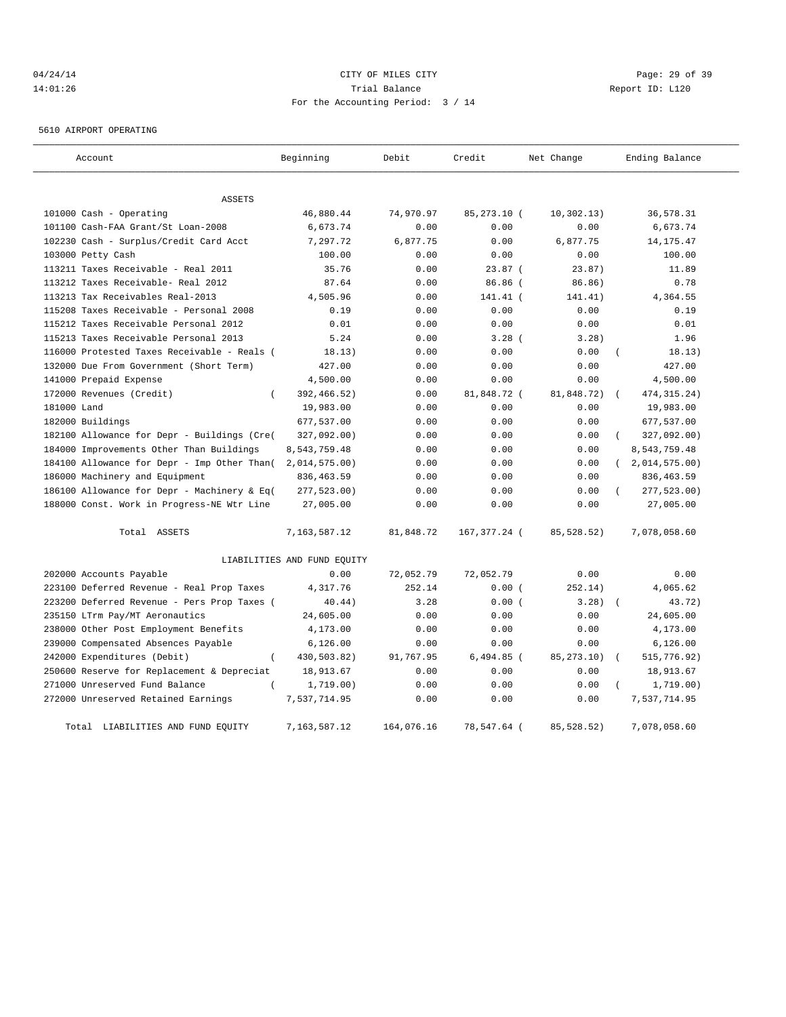## 04/24/14 Page: 29 of 39 14:01:26 Trial Balance Report ID: L120 For the Accounting Period: 3 / 14

5610 AIRPORT OPERATING

| Account                                     | Beginning                   | Debit      | Credit       | Net Change   | Ending Balance |
|---------------------------------------------|-----------------------------|------------|--------------|--------------|----------------|
| <b>ASSETS</b>                               |                             |            |              |              |                |
| 101000 Cash - Operating                     | 46,880.44                   | 74,970.97  | 85,273.10 (  | 10, 302.13)  | 36,578.31      |
| 101100 Cash-FAA Grant/St Loan-2008          | 6,673.74                    | 0.00       | 0.00         | 0.00         | 6,673.74       |
| 102230 Cash - Surplus/Credit Card Acct      | 7,297.72                    | 6.877.75   | 0.00         | 6,877.75     | 14, 175. 47    |
| 103000 Petty Cash                           | 100.00                      | 0.00       | 0.00         | 0.00         | 100.00         |
| 113211 Taxes Receivable - Real 2011         | 35.76                       | 0.00       | 23.87(       | 23.87)       | 11.89          |
| 113212 Taxes Receivable- Real 2012          | 87.64                       | 0.00       | $86.86$ $($  | 86.86)       | 0.78           |
| 113213 Tax Receivables Real-2013            | 4,505.96                    | 0.00       | 141.41 (     | 141.41)      | 4,364.55       |
| 115208 Taxes Receivable - Personal 2008     | 0.19                        | 0.00       | 0.00         | 0.00         | 0.19           |
| 115212 Taxes Receivable Personal 2012       | 0.01                        | 0.00       | 0.00         | 0.00         | 0.01           |
| 115213 Taxes Receivable Personal 2013       | 5.24                        | 0.00       | $3.28$ (     | 3.28)        | 1.96           |
| 116000 Protested Taxes Receivable - Reals ( | 18.13)                      | 0.00       | 0.00         | 0.00         | 18.13)         |
| 132000 Due From Government (Short Term)     | 427.00                      | 0.00       | 0.00         | 0.00         | 427.00         |
| 141000 Prepaid Expense                      | 4,500.00                    | 0.00       | 0.00         | 0.00         | 4,500.00       |
| 172000 Revenues (Credit)<br>$\left($        | 392,466.52)                 | 0.00       | 81,848.72 (  | 81,848.72)   | 474, 315. 24)  |
| 181000 Land                                 | 19,983.00                   | 0.00       | 0.00         | 0.00         | 19,983.00      |
| 182000 Buildings                            | 677,537.00                  | 0.00       | 0.00         | 0.00         | 677,537.00     |
| 182100 Allowance for Depr - Buildings (Cre( | 327,092.00)                 | 0.00       | 0.00         | 0.00         | 327,092.00)    |
| 184000 Improvements Other Than Buildings    | 8,543,759.48                | 0.00       | 0.00         | 0.00         | 8,543,759.48   |
| 184100 Allowance for Depr - Imp Other Than( | 2,014,575.00)               | 0.00       | 0.00         | 0.00         | (2,014,575.00) |
| 186000 Machinery and Equipment              | 836, 463.59                 | 0.00       | 0.00         | 0.00         | 836, 463.59    |
| 186100 Allowance for Depr - Machinery & Eq( | 277,523.00)                 | 0.00       | 0.00         | 0.00         | 277,523.00)    |
| 188000 Const. Work in Progress-NE Wtr Line  | 27,005.00                   | 0.00       | 0.00         | 0.00         | 27,005.00      |
| Total ASSETS                                | 7,163,587.12                | 81,848.72  | 167,377.24 ( | 85,528.52)   | 7,078,058.60   |
|                                             | LIABILITIES AND FUND EQUITY |            |              |              |                |
| 202000 Accounts Payable                     | 0.00                        | 72,052.79  | 72,052.79    | 0.00         | 0.00           |
| 223100 Deferred Revenue - Real Prop Taxes   | 4,317.76                    | 252.14     | 0.00(        | 252.14)      | 4,065.62       |
| 223200 Deferred Revenue - Pers Prop Taxes ( | 40.44)                      | 3.28       | 0.00(        | 3.28)        | 43.72)         |
| 235150 LTrm Pay/MT Aeronautics              | 24,605.00                   | 0.00       | 0.00         | 0.00         | 24,605.00      |
| 238000 Other Post Employment Benefits       | 4,173.00                    | 0.00       | 0.00         | 0.00         | 4,173.00       |
| 239000 Compensated Absences Payable         | 6, 126.00                   | 0.00       | 0.00         | 0.00         | 6, 126.00      |
| 242000 Expenditures (Debit)<br>$\left($     | 430,503.82)                 | 91,767.95  | $6,494.85$ ( | 85, 273. 10) | 515,776.92)    |
| 250600 Reserve for Replacement & Depreciat  | 18,913.67                   | 0.00       | 0.00         | 0.00         | 18,913.67      |
| 271000 Unreserved Fund Balance<br>$\left($  | 1,719.00)                   | 0.00       | 0.00         | 0.00         | 1,719.00)      |
| 272000 Unreserved Retained Earnings         | 7,537,714.95                | 0.00       | 0.00         | 0.00         | 7,537,714.95   |
| Total LIABILITIES AND FUND EQUITY           | 7,163,587.12                | 164,076.16 | 78,547.64 (  | 85,528.52)   | 7,078,058.60   |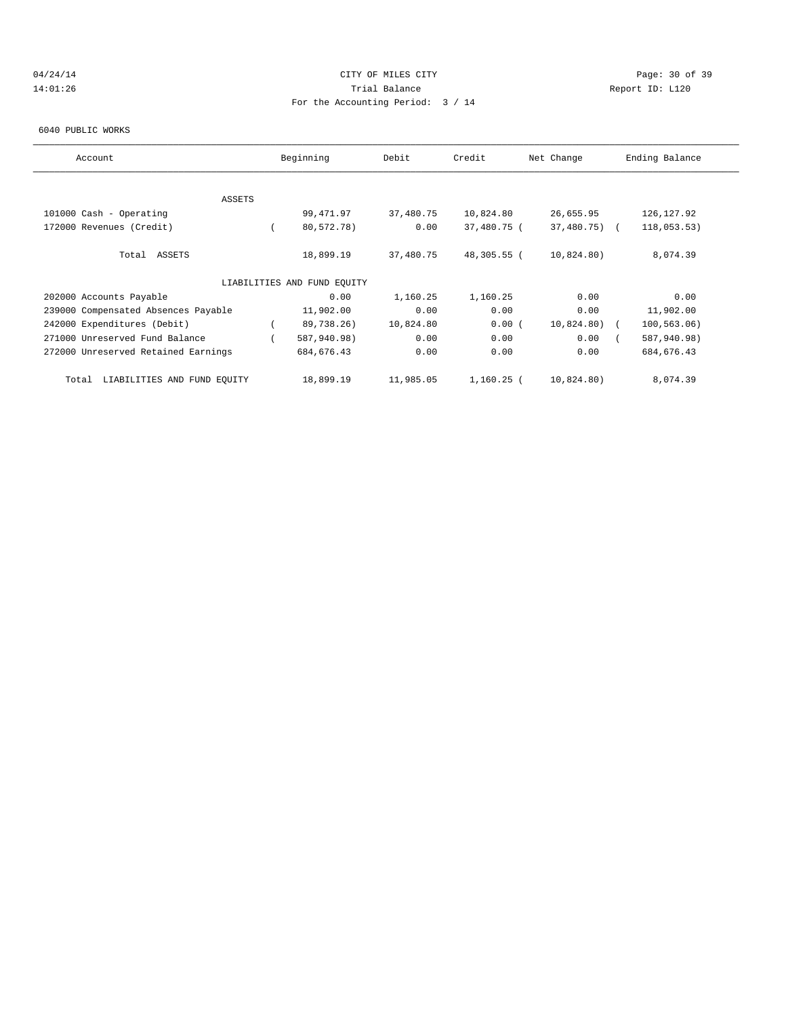## 04/24/14 Page: 30 of 39 14:01:26 Trial Balance Report ID: L120 For the Accounting Period: 3 / 14

#### 6040 PUBLIC WORKS

| Account                              | Beginning                   | Debit     | Credit      | Net Change    | Ending Balance |
|--------------------------------------|-----------------------------|-----------|-------------|---------------|----------------|
|                                      |                             |           |             |               |                |
| <b>ASSETS</b>                        |                             |           |             |               |                |
| 101000 Cash - Operating              | 99,471.97                   | 37,480.75 | 10,824.80   | 26,655.95     | 126, 127.92    |
| 172000 Revenues (Credit)             | 80,572.78)                  | 0.00      | 37,480.75 ( | 37,480.75) (  | 118,053.53)    |
| Total ASSETS                         | 18,899.19                   | 37,480.75 | 48,305.55 ( | 10,824.80)    | 8,074.39       |
|                                      | LIABILITIES AND FUND EQUITY |           |             |               |                |
| 202000 Accounts Payable              | 0.00                        | 1,160.25  | 1,160.25    | 0.00          | 0.00           |
| 239000 Compensated Absences Payable  | 11,902.00                   | 0.00      | 0.00        | 0.00          | 11,902.00      |
| 242000 Expenditures (Debit)          | 89,738.26)                  | 10,824.80 | 0.00(       | $10,824.80$ ( | 100, 563.06)   |
| 271000 Unreserved Fund Balance       | 587,940.98)                 | 0.00      | 0.00        | 0.00          | 587,940.98)    |
| 272000 Unreserved Retained Earnings  | 684, 676.43                 | 0.00      | 0.00        | 0.00          | 684, 676.43    |
| LIABILITIES AND FUND EQUITY<br>Total | 18,899.19                   | 11,985.05 | 1,160.25 (  | 10,824.80)    | 8,074.39       |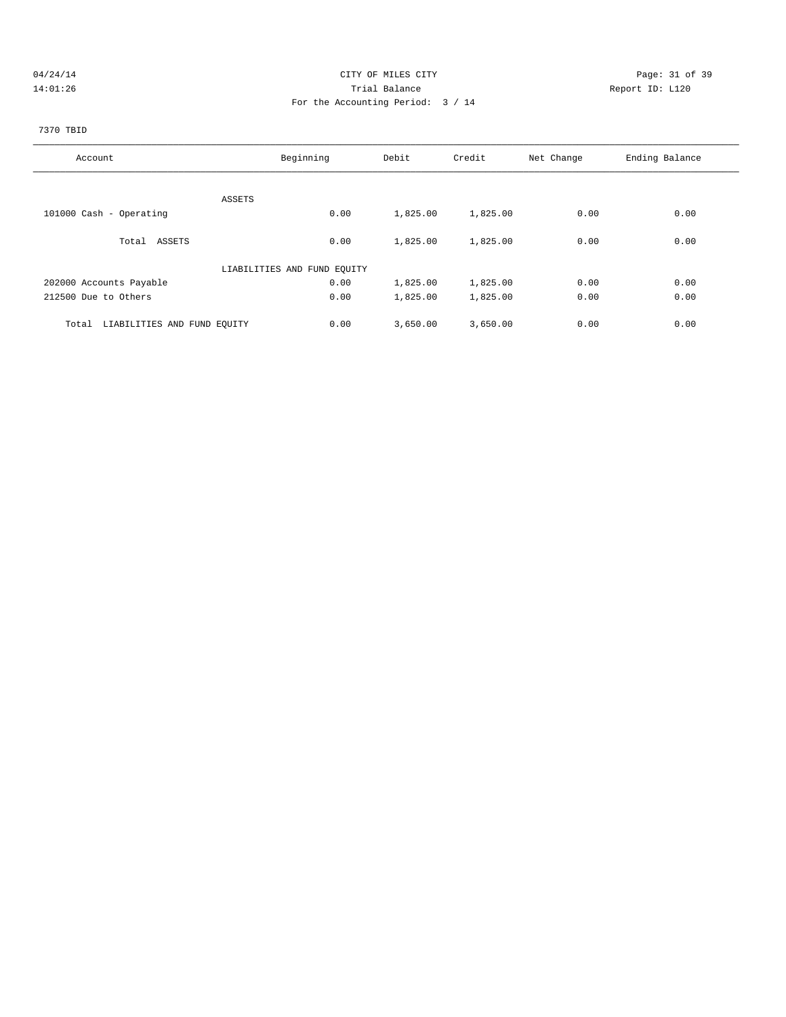## 04/24/14 Page: 31 of 39 14:01:26 Trial Balance Report ID: L120 For the Accounting Period: 3 / 14

# 7370 TBID

| Account                              | Beginning                   | Debit    | Credit   | Net Change | Ending Balance |
|--------------------------------------|-----------------------------|----------|----------|------------|----------------|
|                                      |                             |          |          |            |                |
| ASSETS                               |                             |          |          |            |                |
| 101000 Cash - Operating              | 0.00                        | 1,825.00 | 1,825.00 | 0.00       | 0.00           |
| Total ASSETS                         | 0.00                        | 1,825.00 | 1,825.00 | 0.00       | 0.00           |
|                                      | LIABILITIES AND FUND EQUITY |          |          |            |                |
| 202000 Accounts Payable              | 0.00                        | 1,825.00 | 1,825.00 | 0.00       | 0.00           |
| 212500 Due to Others                 | 0.00                        | 1,825.00 | 1,825.00 | 0.00       | 0.00           |
| LIABILITIES AND FUND EQUITY<br>Total | 0.00                        | 3,650.00 | 3,650.00 | 0.00       | 0.00           |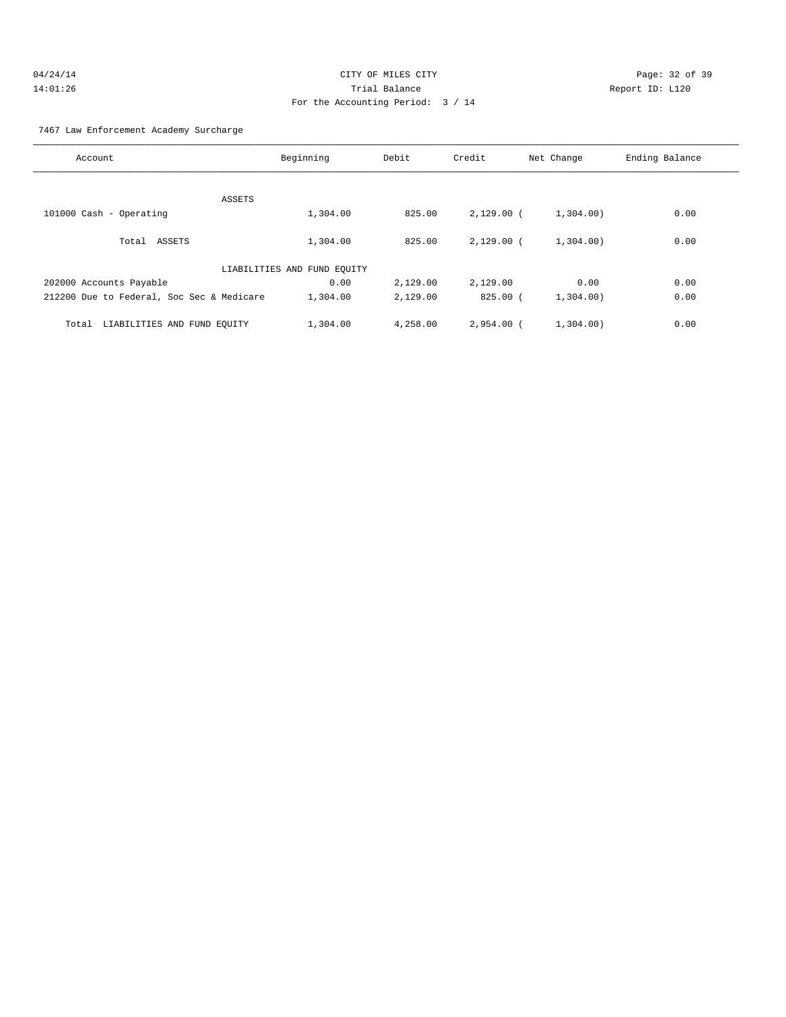| 04/24/14 | CITY OF MILES CITY                |
|----------|-----------------------------------|
| 14:01:26 | Trial Balance                     |
|          | For the Accounting Period: 3 / 14 |

Page: 32 of 39 Report ID: L120

#### 7467 Law Enforcement Academy Surcharge

| Account                                   | Beginning                   | Debit    | Credit       | Net Change | Ending Balance |
|-------------------------------------------|-----------------------------|----------|--------------|------------|----------------|
|                                           |                             |          |              |            |                |
|                                           | ASSETS                      |          |              |            |                |
| 101000 Cash - Operating                   | 1,304.00                    | 825.00   | $2,129.00$ ( | 1,304.00)  | 0.00           |
| Total ASSETS                              | 1,304.00                    | 825.00   | $2.129.00$ ( | 1,304,00)  | 0.00           |
|                                           | LIABILITIES AND FUND EQUITY |          |              |            |                |
| 202000 Accounts Payable                   | 0.00                        | 2,129.00 | 2,129.00     | 0.00       | 0.00           |
| 212200 Due to Federal, Soc Sec & Medicare | 1,304.00                    | 2,129.00 | $825.00$ (   | 1,304,00)  | 0.00           |
| LIABILITIES AND FUND EQUITY<br>Total      | 1,304.00                    | 4,258.00 | $2,954.00$ ( | 1,304,00)  | 0.00           |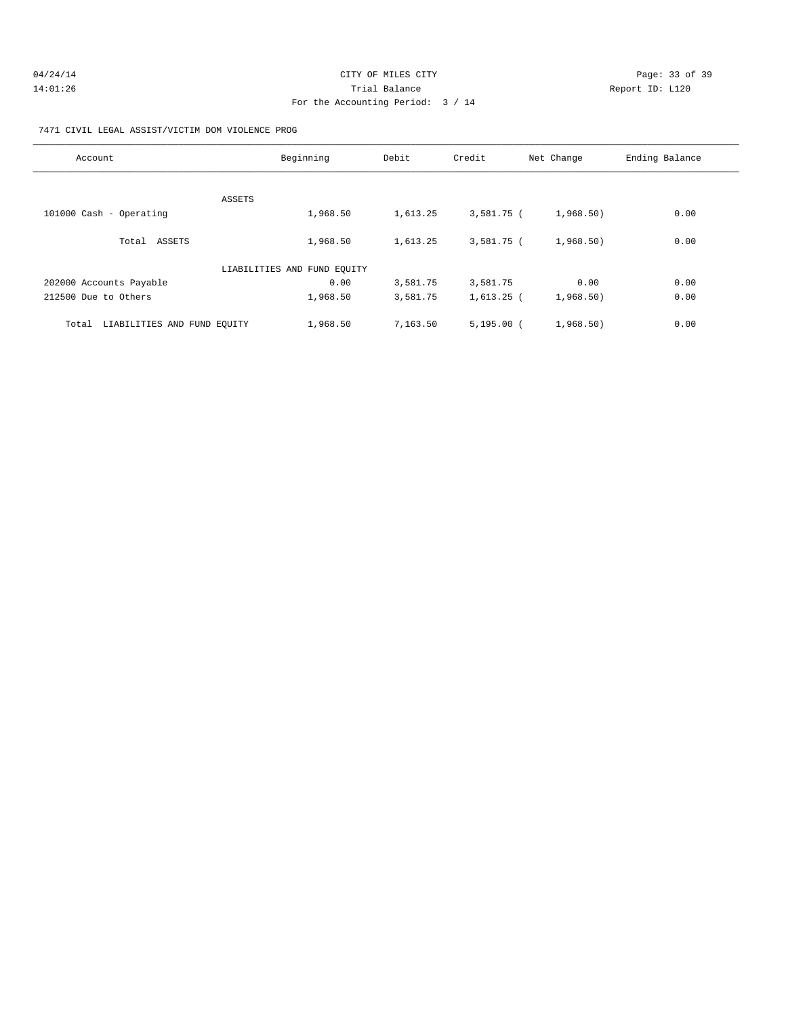| 04/24/14 | CITY OF MILES CITY                | Page: 33 of 39  |
|----------|-----------------------------------|-----------------|
| 14:01:26 | Trial Balance                     | Report ID: L120 |
|          | For the Accounting Period: 3 / 14 |                 |

7471 CIVIL LEGAL ASSIST/VICTIM DOM VIOLENCE PROG

| Account                              | Beginning                   | Debit    | Credit       | Net Change | Ending Balance |
|--------------------------------------|-----------------------------|----------|--------------|------------|----------------|
|                                      |                             |          |              |            |                |
| ASSETS                               |                             |          |              |            |                |
| 101000 Cash - Operating              | 1,968.50                    | 1,613.25 | 3,581.75 (   | 1,968.50)  | 0.00           |
|                                      |                             |          |              |            |                |
| Total ASSETS                         | 1,968.50                    | 1,613.25 | $3.581.75$ ( | 1,968.50)  | 0.00           |
|                                      | LIABILITIES AND FUND EQUITY |          |              |            |                |
| 202000 Accounts Payable              | 0.00                        | 3,581.75 | 3,581.75     | 0.00       | 0.00           |
| 212500 Due to Others                 | 1,968.50                    | 3,581.75 | $1,613.25$ ( | 1,968.50)  | 0.00           |
| LIABILITIES AND FUND EQUITY<br>Total | 1,968.50                    | 7,163.50 | $5,195.00$ ( | 1,968.50)  | 0.00           |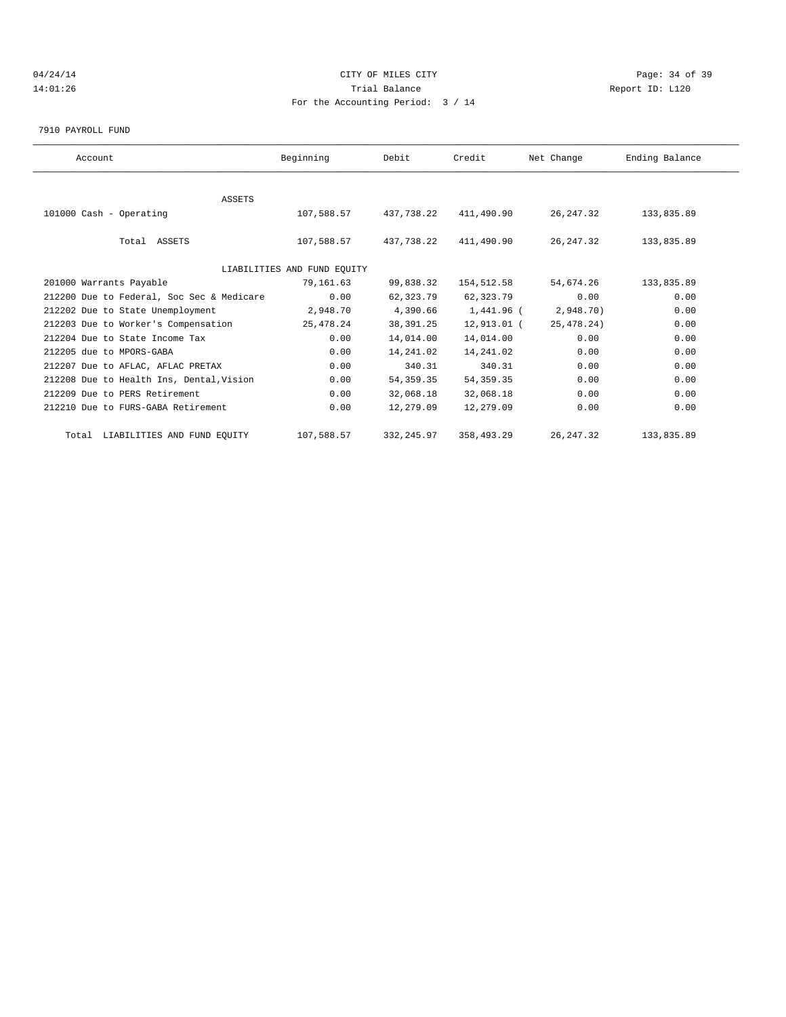## 04/24/14 Page: 34 of 39 14:01:26 Trial Balance Report ID: L120 For the Accounting Period: 3 / 14

#### 7910 PAYROLL FUND

| Account                                   | Beginning                   | Debit       | Credit      | Net Change   | Ending Balance |  |
|-------------------------------------------|-----------------------------|-------------|-------------|--------------|----------------|--|
|                                           |                             |             |             |              |                |  |
| <b>ASSETS</b>                             |                             |             |             |              |                |  |
| 101000 Cash - Operating                   | 107,588.57                  | 437,738.22  | 411,490.90  | 26,247.32    | 133,835.89     |  |
|                                           |                             |             |             |              |                |  |
| Total ASSETS                              | 107,588.57                  | 437,738.22  | 411,490.90  | 26, 247.32   | 133,835.89     |  |
|                                           |                             |             |             |              |                |  |
|                                           | LIABILITIES AND FUND EQUITY |             |             |              |                |  |
| 201000 Warrants Payable                   | 79,161.63                   | 99,838.32   | 154,512.58  | 54,674.26    | 133,835.89     |  |
| 212200 Due to Federal, Soc Sec & Medicare | 0.00                        | 62,323.79   | 62,323.79   | 0.00         | 0.00           |  |
| 212202 Due to State Unemployment          | 2,948.70                    | 4,390.66    | 1,441.96 (  | 2,948.70)    | 0.00           |  |
| 212203 Due to Worker's Compensation       | 25,478.24                   | 38,391.25   | 12,913.01 ( | 25, 478, 24) | 0.00           |  |
| 212204 Due to State Income Tax            | 0.00                        | 14,014.00   | 14,014.00   | 0.00         | 0.00           |  |
| 212205 due to MPORS-GABA                  | 0.00                        | 14,241.02   | 14,241.02   | 0.00         | 0.00           |  |
| 212207 Due to AFLAC, AFLAC PRETAX         | 0.00                        | 340.31      | 340.31      | 0.00         | 0.00           |  |
| 212208 Due to Health Ins, Dental, Vision  | 0.00                        | 54, 359. 35 | 54, 359. 35 | 0.00         | 0.00           |  |
| 212209 Due to PERS Retirement             | 0.00                        | 32,068.18   | 32,068.18   | 0.00         | 0.00           |  |
| 212210 Due to FURS-GABA Retirement        | 0.00                        | 12,279.09   | 12,279.09   | 0.00         | 0.00           |  |
| Total LIABILITIES AND FUND EQUITY         | 107,588.57                  | 332, 245.97 | 358, 493.29 | 26, 247.32   | 133,835.89     |  |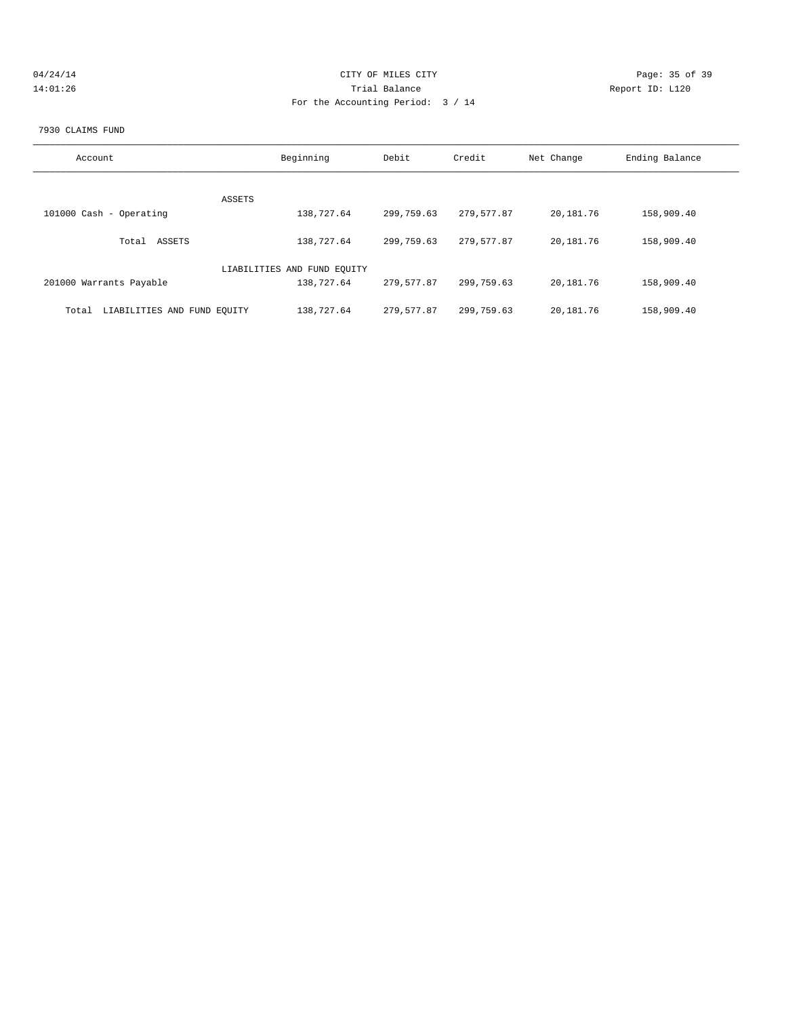| 04/24/14 | CITY OF MILES CITY                | Page: 35 of 39  |
|----------|-----------------------------------|-----------------|
| 14:01:26 | Trial Balance                     | Report ID: L120 |
|          | For the Accounting Period: 3 / 14 |                 |
|          |                                   |                 |

#### 7930 CLAIMS FUND

| Account                              | Beginning                   | Debit      | Credit     | Net Change | Ending Balance |
|--------------------------------------|-----------------------------|------------|------------|------------|----------------|
| ASSETS                               |                             |            |            |            |                |
| 101000 Cash - Operating              | 138,727.64                  | 299,759.63 | 279,577.87 | 20,181.76  | 158,909.40     |
| ASSETS<br>Total                      | 138,727.64                  | 299,759.63 | 279,577.87 | 20,181.76  | 158,909.40     |
|                                      | LIABILITIES AND FUND EOUITY |            |            |            |                |
| 201000 Warrants Payable              | 138,727.64                  | 279,577.87 | 299,759.63 | 20,181.76  | 158,909.40     |
| LIABILITIES AND FUND EQUITY<br>Total | 138,727.64                  | 279,577.87 | 299,759.63 | 20,181.76  | 158,909.40     |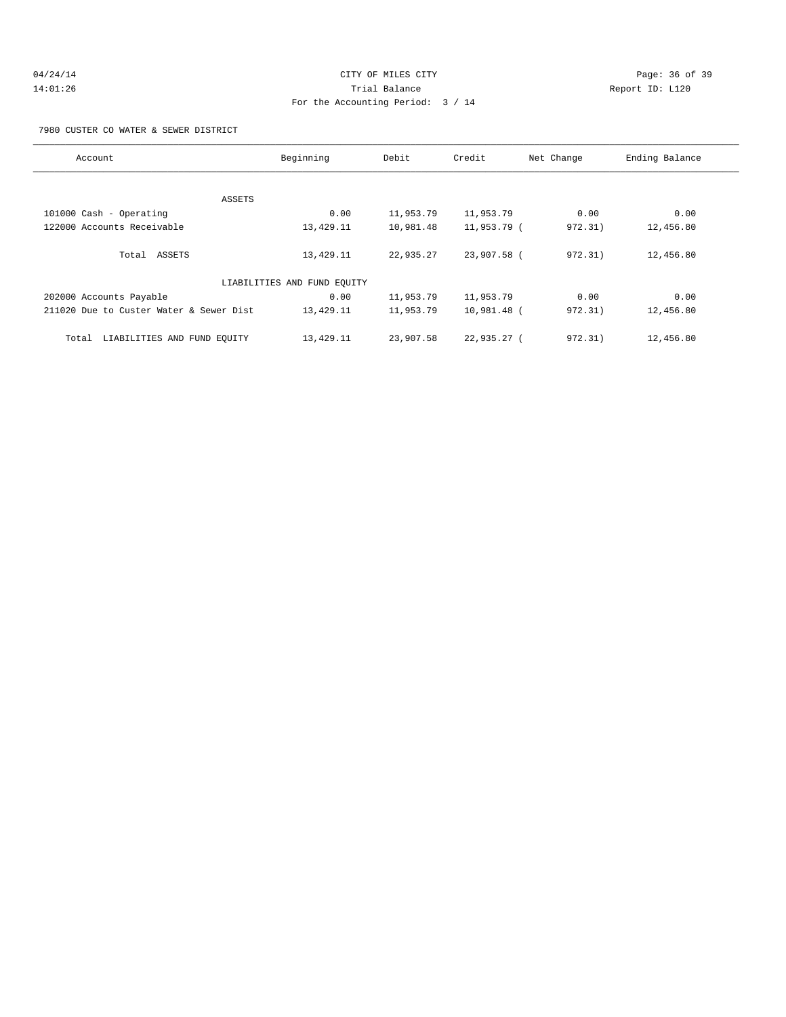7980 CUSTER CO WATER & SEWER DISTRICT

| Account                                 | Beginning                   | Debit     | Credit      | Net Change | Ending Balance |
|-----------------------------------------|-----------------------------|-----------|-------------|------------|----------------|
|                                         |                             |           |             |            |                |
|                                         | ASSETS                      |           |             |            |                |
| 101000 Cash - Operating                 | 0.00                        | 11,953.79 | 11,953.79   | 0.00       | 0.00           |
| 122000 Accounts Receivable              | 13,429.11                   | 10,981.48 | 11,953.79 ( | 972.31)    | 12,456.80      |
| Total ASSETS                            | 13,429.11                   | 22,935.27 | 23,907.58 ( | 972.31)    | 12,456.80      |
|                                         | LIABILITIES AND FUND EQUITY |           |             |            |                |
| 202000 Accounts Payable                 | 0.00                        | 11,953.79 | 11,953.79   | 0.00       | 0.00           |
| 211020 Due to Custer Water & Sewer Dist | 13,429.11                   | 11,953.79 | 10,981.48 ( | 972.31)    | 12,456.80      |
| LIABILITIES AND FUND EQUITY<br>Total    | 13,429.11                   | 23,907.58 | 22,935.27 ( | 972.31)    | 12,456.80      |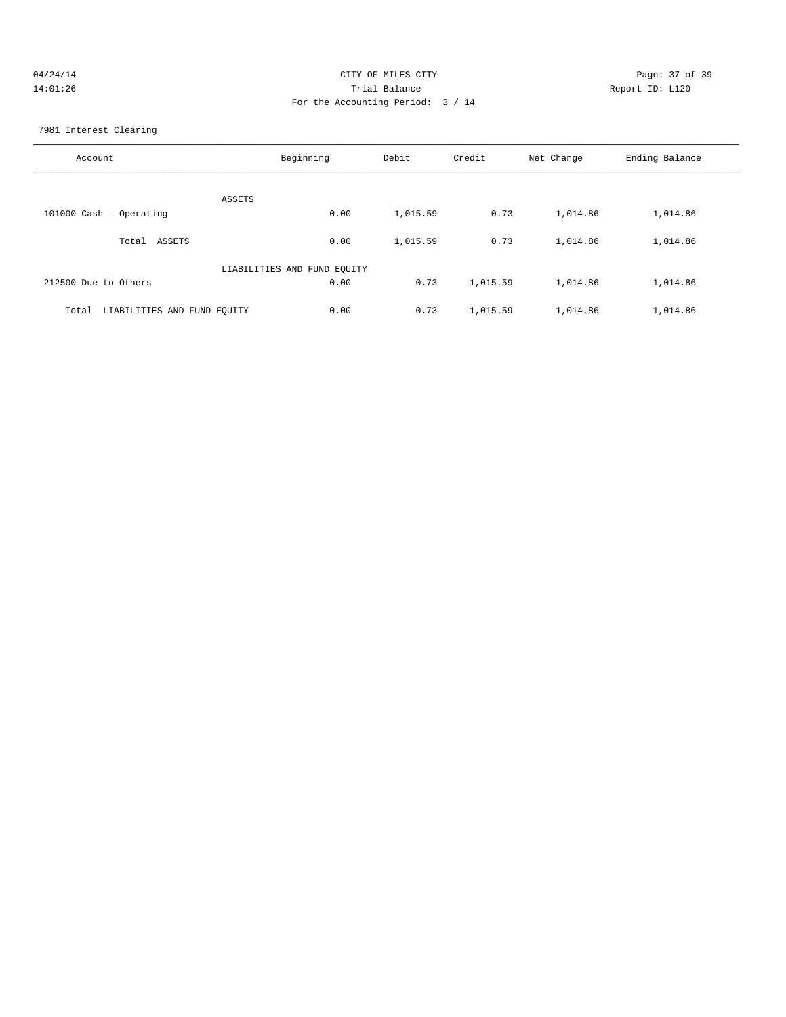| 04/24/14 | CITY OF MILES CITY                | Page: 37 of 39  |
|----------|-----------------------------------|-----------------|
| 14:01:26 | Trial Balance                     | Report ID: L120 |
|          | For the Accounting Period: 3 / 14 |                 |

7981 Interest Clearing

| Account                              | Beginning                   | Debit    | Credit   | Net Change | Ending Balance |
|--------------------------------------|-----------------------------|----------|----------|------------|----------------|
| ASSETS                               |                             |          |          |            |                |
| 101000 Cash - Operating              | 0.00                        | 1,015.59 | 0.73     | 1,014.86   | 1,014.86       |
| ASSETS<br>Total                      | 0.00                        | 1,015.59 | 0.73     | 1,014.86   | 1,014.86       |
|                                      | LIABILITIES AND FUND EQUITY |          |          |            |                |
| 212500 Due to Others                 | 0.00                        | 0.73     | 1,015.59 | 1,014.86   | 1,014.86       |
| LIABILITIES AND FUND EOUITY<br>Total | 0.00                        | 0.73     | 1,015.59 | 1,014.86   | 1,014.86       |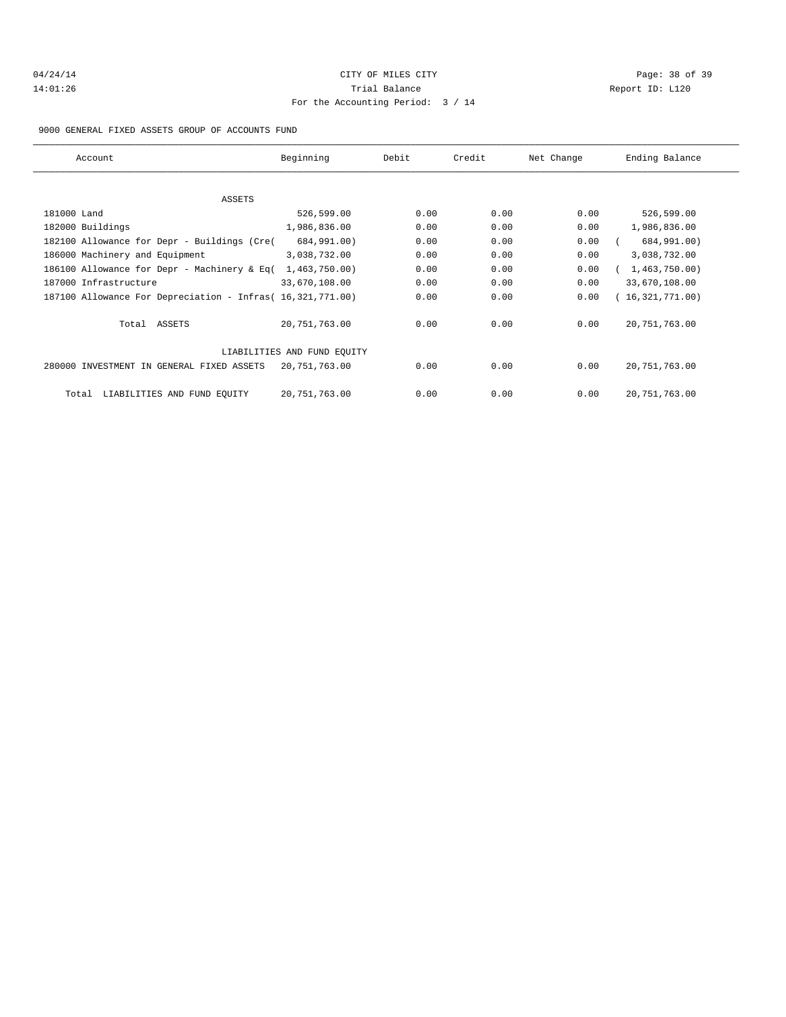| 04/24/14 |  |
|----------|--|
| 14:01:26 |  |

## CITY OF MILES CITY CONTROL CONTROL CONTROL CONTROL CONTROL PAGE: 38 of 39 14:00 Trial Balance and Communications of the Report ID: L120 For the Accounting Period: 3 / 14

9000 GENERAL FIXED ASSETS GROUP OF ACCOUNTS FUND

| Account                                                    | Beginning                   | Debit | Credit | Net Change | Ending Balance  |
|------------------------------------------------------------|-----------------------------|-------|--------|------------|-----------------|
|                                                            |                             |       |        |            |                 |
| <b>ASSETS</b>                                              |                             |       |        |            |                 |
| 181000 Land                                                | 526,599.00                  | 0.00  | 0.00   | 0.00       | 526,599.00      |
| 182000 Buildings                                           | 1,986,836.00                | 0.00  | 0.00   | 0.00       | 1,986,836.00    |
| 182100 Allowance for Depr - Buildings (Cre(                | 684,991.00)                 | 0.00  | 0.00   | 0.00       | 684,991.00)     |
| 186000 Machinery and Equipment                             | 3,038,732.00                | 0.00  | 0.00   | 0.00       | 3,038,732.00    |
| 186100 Allowance for Depr - Machinery & Eq(                | 1,463,750.00                | 0.00  | 0.00   | 0.00       | 1,463,750.00    |
| 187000 Infrastructure                                      | 33,670,108.00               | 0.00  | 0.00   | 0.00       | 33,670,108.00   |
| 187100 Allowance For Depreciation - Infras( 16,321,771.00) |                             | 0.00  | 0.00   | 0.00       | 16,321,771.00)  |
| Total ASSETS                                               | 20,751,763.00               | 0.00  | 0.00   | 0.00       | 20, 751, 763.00 |
|                                                            | LIABILITIES AND FUND EOUITY |       |        |            |                 |
| 280000 INVESTMENT IN GENERAL FIXED ASSETS                  | 20,751,763.00               | 0.00  | 0.00   | 0.00       | 20, 751, 763.00 |
| LIABILITIES AND FUND EQUITY<br>Total                       | 20,751,763.00               | 0.00  | 0.00   | 0.00       | 20, 751, 763.00 |